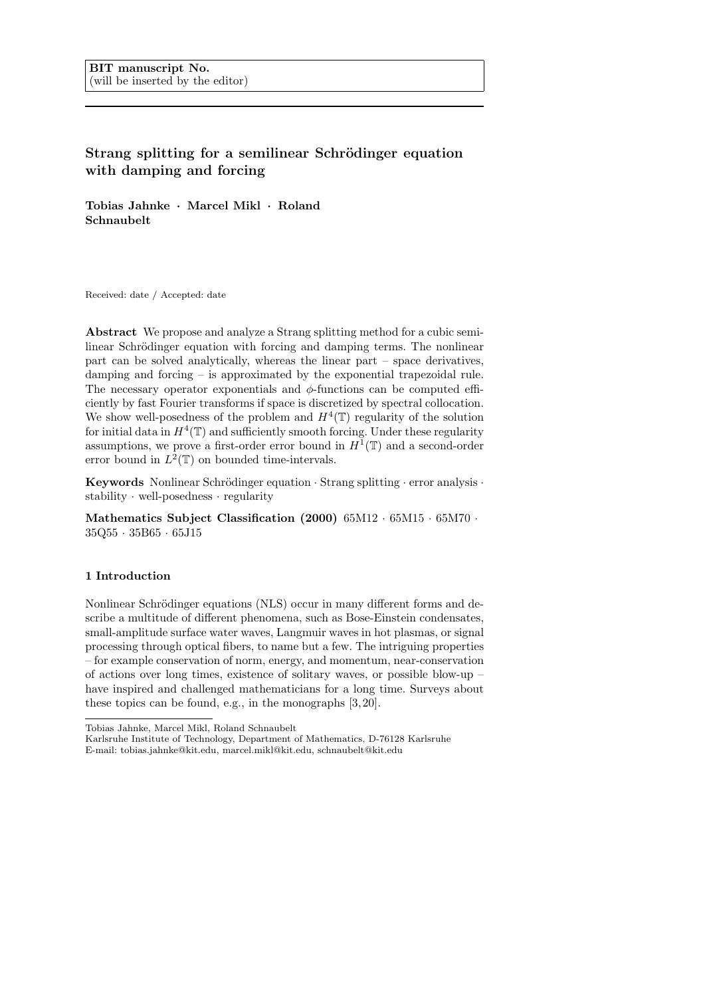# Strang splitting for a semilinear Schrödinger equation with damping and forcing

Tobias Jahnke · Marcel Mikl · Roland Schnaubelt

Received: date / Accepted: date

Abstract We propose and analyze a Strang splitting method for a cubic semilinear Schrödinger equation with forcing and damping terms. The nonlinear part can be solved analytically, whereas the linear part – space derivatives, damping and forcing – is approximated by the exponential trapezoidal rule. The necessary operator exponentials and  $\phi$ -functions can be computed efficiently by fast Fourier transforms if space is discretized by spectral collocation. We show well-posedness of the problem and  $H^4(\mathbb{T})$  regularity of the solution for initial data in  $H^4(\mathbb{T})$  and sufficiently smooth forcing. Under these regularity assumptions, we prove a first-order error bound in  $H^1(\mathbb{T})$  and a second-order error bound in  $L^2(\mathbb{T})$  on bounded time-intervals.

Keywords Nonlinear Schrödinger equation  $\cdot$  Strang splitting  $\cdot$  error analysis  $\cdot$ stability · well-posedness · regularity

Mathematics Subject Classification (2000) 65M12 · 65M15 · 65M70 · 35Q55 · 35B65 · 65J15

### 1 Introduction

Nonlinear Schrödinger equations (NLS) occur in many different forms and describe a multitude of different phenomena, such as Bose-Einstein condensates, small-amplitude surface water waves, Langmuir waves in hot plasmas, or signal processing through optical fibers, to name but a few. The intriguing properties – for example conservation of norm, energy, and momentum, near-conservation of actions over long times, existence of solitary waves, or possible blow-up – have inspired and challenged mathematicians for a long time. Surveys about these topics can be found, e.g., in the monographs [3, 20].

Tobias Jahnke, Marcel Mikl, Roland Schnaubelt

Karlsruhe Institute of Technology, Department of Mathematics, D-76128 Karlsruhe E-mail: tobias.jahnke@kit.edu, marcel.mikl@kit.edu, schnaubelt@kit.edu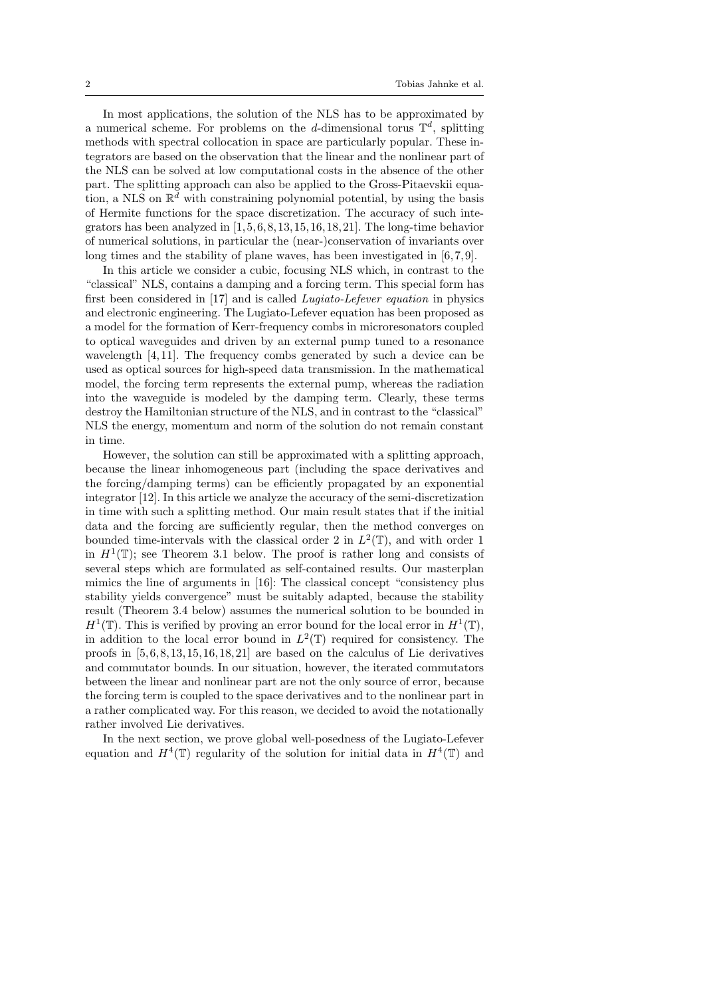In most applications, the solution of the NLS has to be approximated by a numerical scheme. For problems on the d-dimensional torus  $\mathbb{T}^d$ , splitting methods with spectral collocation in space are particularly popular. These integrators are based on the observation that the linear and the nonlinear part of the NLS can be solved at low computational costs in the absence of the other part. The splitting approach can also be applied to the Gross-Pitaevskii equation, a NLS on  $\mathbb{R}^d$  with constraining polynomial potential, by using the basis of Hermite functions for the space discretization. The accuracy of such integrators has been analyzed in  $[1, 5, 6, 8, 13, 15, 16, 18, 21]$ . The long-time behavior of numerical solutions, in particular the (near-)conservation of invariants over long times and the stability of plane waves, has been investigated in [6,7,9].

In this article we consider a cubic, focusing NLS which, in contrast to the "classical" NLS, contains a damping and a forcing term. This special form has first been considered in [17] and is called Lugiato-Lefever equation in physics and electronic engineering. The Lugiato-Lefever equation has been proposed as a model for the formation of Kerr-frequency combs in microresonators coupled to optical waveguides and driven by an external pump tuned to a resonance wavelength [4,11]. The frequency combs generated by such a device can be used as optical sources for high-speed data transmission. In the mathematical model, the forcing term represents the external pump, whereas the radiation into the waveguide is modeled by the damping term. Clearly, these terms destroy the Hamiltonian structure of the NLS, and in contrast to the "classical" NLS the energy, momentum and norm of the solution do not remain constant in time.

However, the solution can still be approximated with a splitting approach, because the linear inhomogeneous part (including the space derivatives and the forcing/damping terms) can be efficiently propagated by an exponential integrator [12]. In this article we analyze the accuracy of the semi-discretization in time with such a splitting method. Our main result states that if the initial data and the forcing are sufficiently regular, then the method converges on bounded time-intervals with the classical order 2 in  $L^2(\mathbb{T})$ , and with order 1 in  $H^1(\mathbb{T})$ ; see Theorem 3.1 below. The proof is rather long and consists of several steps which are formulated as self-contained results. Our masterplan mimics the line of arguments in [16]: The classical concept "consistency plus stability yields convergence" must be suitably adapted, because the stability result (Theorem 3.4 below) assumes the numerical solution to be bounded in  $H^1(\mathbb{T})$ . This is verified by proving an error bound for the local error in  $H^1(\mathbb{T})$ , in addition to the local error bound in  $L^2(\mathbb{T})$  required for consistency. The proofs in  $[5, 6, 8, 13, 15, 16, 18, 21]$  are based on the calculus of Lie derivatives and commutator bounds. In our situation, however, the iterated commutators between the linear and nonlinear part are not the only source of error, because the forcing term is coupled to the space derivatives and to the nonlinear part in a rather complicated way. For this reason, we decided to avoid the notationally rather involved Lie derivatives.

In the next section, we prove global well-posedness of the Lugiato-Lefever equation and  $H^4(\mathbb{T})$  regularity of the solution for initial data in  $H^4(\mathbb{T})$  and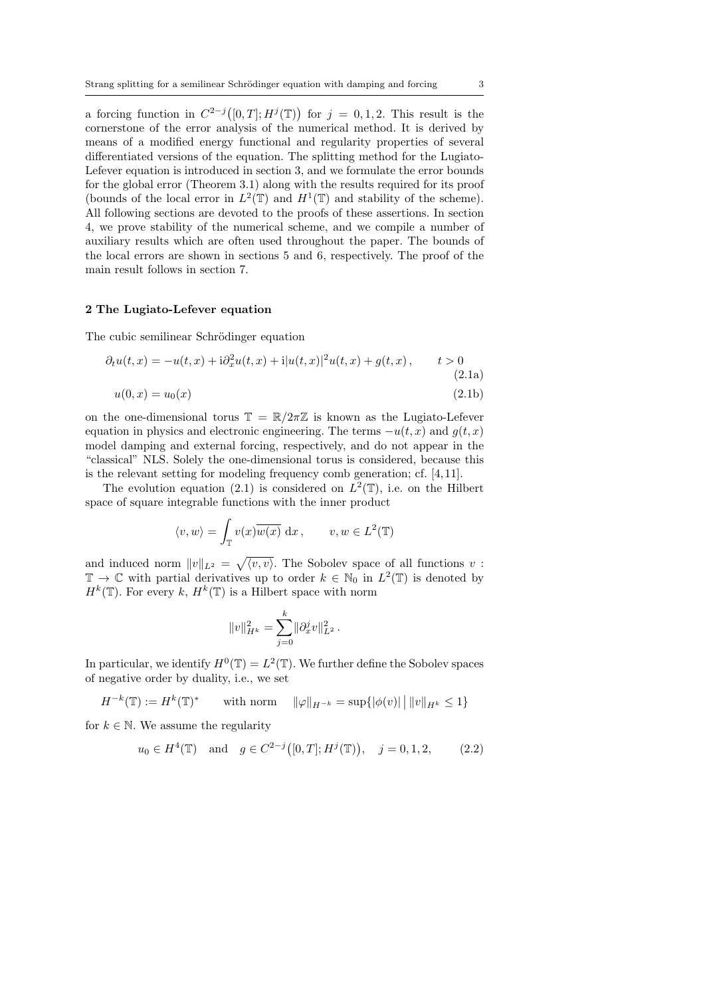a forcing function in  $C^{2-j}([0,T];H^j(\mathbb{T}))$  for  $j=0,1,2$ . This result is the cornerstone of the error analysis of the numerical method. It is derived by means of a modified energy functional and regularity properties of several differentiated versions of the equation. The splitting method for the Lugiato-Lefever equation is introduced in section 3, and we formulate the error bounds for the global error (Theorem 3.1) along with the results required for its proof (bounds of the local error in  $L^2(\mathbb{T})$  and  $H^1(\mathbb{T})$  and stability of the scheme). All following sections are devoted to the proofs of these assertions. In section 4, we prove stability of the numerical scheme, and we compile a number of auxiliary results which are often used throughout the paper. The bounds of the local errors are shown in sections 5 and 6, respectively. The proof of the main result follows in section 7.

#### 2 The Lugiato-Lefever equation

The cubic semilinear Schrödinger equation

$$
\partial_t u(t,x) = -u(t,x) + i \partial_x^2 u(t,x) + i |u(t,x)|^2 u(t,x) + g(t,x), \qquad t > 0
$$
\n(2.1a)

$$
u(0, x) = u_0(x) \tag{2.1b}
$$

on the one-dimensional torus  $\mathbb{T} = \mathbb{R}/2\pi\mathbb{Z}$  is known as the Lugiato-Lefever equation in physics and electronic engineering. The terms  $-u(t, x)$  and  $q(t, x)$ model damping and external forcing, respectively, and do not appear in the "classical" NLS. Solely the one-dimensional torus is considered, because this is the relevant setting for modeling frequency comb generation; cf. [4, 11].

The evolution equation (2.1) is considered on  $L^2(\mathbb{T})$ , i.e. on the Hilbert space of square integrable functions with the inner product

$$
\langle v, w \rangle = \int_{\mathbb{T}} v(x) \overline{w(x)} \, dx, \qquad v, w \in L^2(\mathbb{T})
$$

and induced norm  $||v||_{L^2} = \sqrt{\langle v, v \rangle}$ . The Sobolev space of all functions v:  $\mathbb{T} \to \mathbb{C}$  with partial derivatives up to order  $k \in \mathbb{N}_0$  in  $L^2(\mathbb{T})$  is denoted by  $H^k(\mathbb{T})$ . For every k,  $H^k(\mathbb{T})$  is a Hilbert space with norm

$$
||v||_{H^k}^2 = \sum_{j=0}^k ||\partial_x^j v||_{L^2}^2.
$$

In particular, we identify  $H^0(\mathbb{T}) = L^2(\mathbb{T})$ . We further define the Sobolev spaces of negative order by duality, i.e., we set

$$
H^{-k}(\mathbb{T}) := H^{k}(\mathbb{T})^* \qquad \text{with norm} \quad ||\varphi||_{H^{-k}} = \sup \{ |\phi(v)| \, | \, ||v||_{H^{k}} \le 1 \}
$$

for  $k \in \mathbb{N}$ . We assume the regularity

$$
u_0 \in H^4(\mathbb{T})
$$
 and  $g \in C^{2-j}([0, T]; H^j(\mathbb{T})), j = 0, 1, 2,$  (2.2)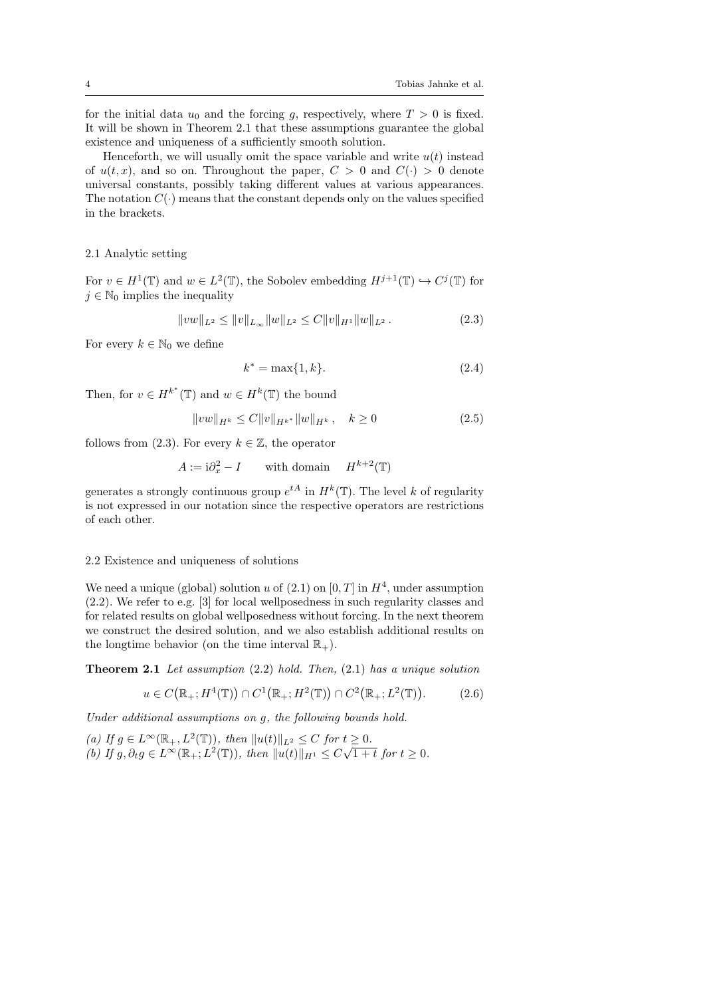for the initial data  $u_0$  and the forcing g, respectively, where  $T > 0$  is fixed. It will be shown in Theorem 2.1 that these assumptions guarantee the global existence and uniqueness of a sufficiently smooth solution.

Henceforth, we will usually omit the space variable and write  $u(t)$  instead of  $u(t, x)$ , and so on. Throughout the paper,  $C > 0$  and  $C(\cdot) > 0$  denote universal constants, possibly taking different values at various appearances. The notation  $C(\cdot)$  means that the constant depends only on the values specified in the brackets.

#### 2.1 Analytic setting

For  $v \in H^1(\mathbb{T})$  and  $w \in L^2(\mathbb{T})$ , the Sobolev embedding  $H^{j+1}(\mathbb{T}) \hookrightarrow C^j(\mathbb{T})$  for  $j \in \mathbb{N}_0$  implies the inequality

$$
||vw||_{L^2} \le ||v||_{L_\infty} ||w||_{L^2} \le C||v||_{H^1} ||w||_{L^2}.
$$
\n(2.3)

For every  $k \in \mathbb{N}_0$  we define

$$
k^* = \max\{1, k\}.\tag{2.4}
$$

Then, for  $v \in H^{k^*}(\mathbb{T})$  and  $w \in H^k(\mathbb{T})$  the bound

$$
||vw||_{H^k} \le C||v||_{H^{k^*}}||w||_{H^k}, \quad k \ge 0
$$
\n(2.5)

follows from (2.3). For every  $k \in \mathbb{Z}$ , the operator

$$
A := \mathbf{i}\partial_x^2 - I \qquad \text{with domain} \qquad H^{k+2}(\mathbb{T})
$$

generates a strongly continuous group  $e^{tA}$  in  $H^k(\mathbb{T})$ . The level k of regularity is not expressed in our notation since the respective operators are restrictions of each other.

#### 2.2 Existence and uniqueness of solutions

We need a unique (global) solution u of  $(2.1)$  on  $[0, T]$  in  $H<sup>4</sup>$ , under assumption (2.2). We refer to e.g. [3] for local wellposedness in such regularity classes and for related results on global wellposedness without forcing. In the next theorem we construct the desired solution, and we also establish additional results on the longtime behavior (on the time interval  $\mathbb{R}_+$ ).

**Theorem 2.1** Let assumption  $(2.2)$  hold. Then,  $(2.1)$  has a unique solution

$$
u \in C(\mathbb{R}_+; H^4(\mathbb{T})) \cap C^1(\mathbb{R}_+; H^2(\mathbb{T})) \cap C^2(\mathbb{R}_+; L^2(\mathbb{T})).
$$
 (2.6)

Under additional assumptions on g, the following bounds hold.

(a) If  $g \in L^{\infty}(\mathbb{R}_+, L^2(\mathbb{T}))$ , then  $||u(t)||_{L^2} \leq C$  for  $t \geq 0$ . (b) If  $g, \partial_t g \in L^{\infty}(\mathbb{R}_+; L^2(\mathbb{T}))$ , then  $||u(t)||_{H^1} \leq C\sqrt{1+t}$  for  $t \geq 0$ .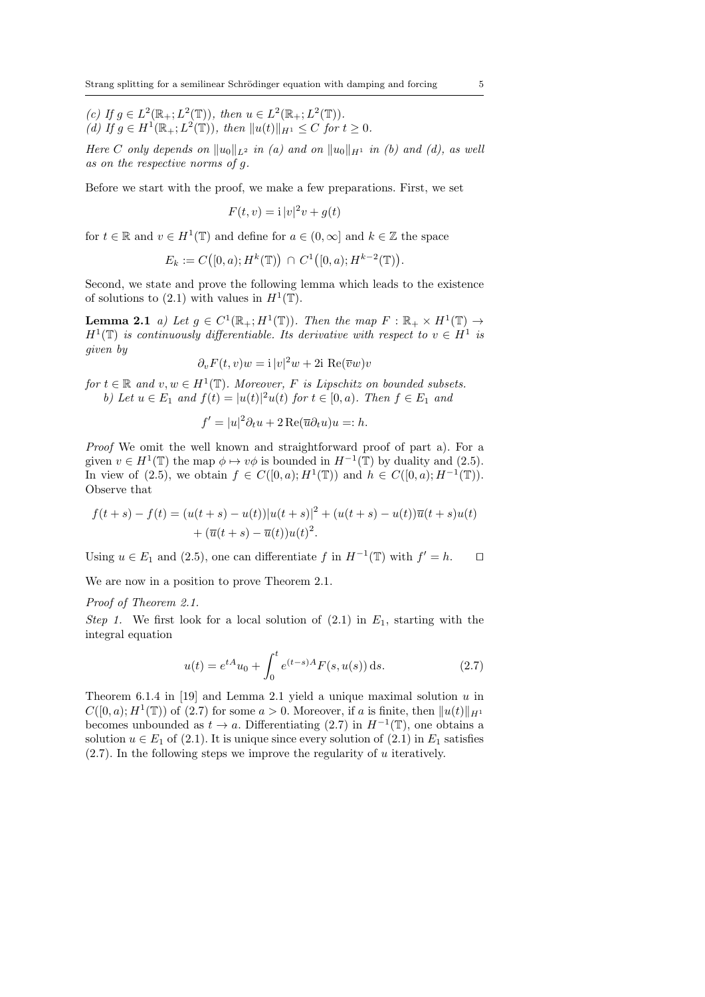(c) If  $g \in L^2(\mathbb{R}_+; L^2(\mathbb{T}))$ , then  $u \in L^2(\mathbb{R}_+; L^2(\mathbb{T}))$ . (d) If  $g \in H^1(\mathbb{R}_+; L^2(\mathbb{T}))$ , then  $||u(t)||_{H^1} \leq C$  for  $t \geq 0$ .

Here C only depends on  $||u_0||_{L^2}$  in (a) and on  $||u_0||_{H^1}$  in (b) and (d), as well as on the respective norms of g.

Before we start with the proof, we make a few preparations. First, we set

$$
F(t, v) = \mathbf{i} |v|^2 v + g(t)
$$

for  $t \in \mathbb{R}$  and  $v \in H^1(\mathbb{T})$  and define for  $a \in (0, \infty]$  and  $k \in \mathbb{Z}$  the space

$$
E_k := C([0, a); H^k(\mathbb{T})) \cap C^1([0, a); H^{k-2}(\mathbb{T})).
$$

Second, we state and prove the following lemma which leads to the existence of solutions to (2.1) with values in  $H^1(\mathbb{T})$ .

**Lemma 2.1** a) Let  $g \in C^1(\mathbb{R}_+; H^1(\mathbb{T}))$ . Then the map  $F : \mathbb{R}_+ \times H^1(\mathbb{T}) \to$  $H^1(\mathbb{T})$  is continuously differentiable. Its derivative with respect to  $v \in H^1$  is given by

$$
\partial_v F(t, v)w = i|v|^2 w + 2i \text{ Re}(\overline{v}w)v
$$

for  $t \in \mathbb{R}$  and  $v, w \in H^1(\mathbb{T})$ . Moreover, F is Lipschitz on bounded subsets. b) Let  $u \in E_1$  and  $f(t) = |u(t)|^2 u(t)$  for  $t \in [0, a)$ . Then  $f \in E_1$  and

$$
f' = |u|^2 \partial_t u + 2 \operatorname{Re}(\overline{u} \partial_t u) u =: h.
$$

Proof We omit the well known and straightforward proof of part a). For a given  $v \in H^1(\mathbb{T})$  the map  $\phi \mapsto v\phi$  is bounded in  $H^{-1}(\mathbb{T})$  by duality and (2.5). In view of (2.5), we obtain  $f \in C([0, a); H^1(\mathbb{T}))$  and  $h \in C([0, a); H^{-1}(\mathbb{T}))$ . Observe that

$$
f(t+s) - f(t) = (u(t+s) - u(t))|u(t+s)|^2 + (u(t+s) - u(t))\overline{u}(t+s)u(t) + (\overline{u}(t+s) - \overline{u}(t))u(t)^2.
$$

Using  $u \in E_1$  and (2.5), one can differentiate f in  $H^{-1}(\mathbb{T})$  with  $f' = h$ .  $\Box$ 

We are now in a position to prove Theorem 2.1.

#### Proof of Theorem 2.1.

Step 1. We first look for a local solution of  $(2.1)$  in  $E_1$ , starting with the integral equation

$$
u(t) = e^{tA}u_0 + \int_0^t e^{(t-s)A} F(s, u(s)) \, ds. \tag{2.7}
$$

Theorem 6.1.4 in [19] and Lemma 2.1 yield a unique maximal solution  $u$  in  $C([0, a); H^1(\mathbb{T}))$  of  $(2.7)$  for some  $a > 0$ . Moreover, if a is finite, then  $||u(t)||_{H^1}$ becomes unbounded as  $t \to a$ . Differentiating (2.7) in  $H^{-1}(\mathbb{T})$ , one obtains a solution  $u \in E_1$  of (2.1). It is unique since every solution of (2.1) in  $E_1$  satisfies  $(2.7)$ . In the following steps we improve the regularity of u iteratively.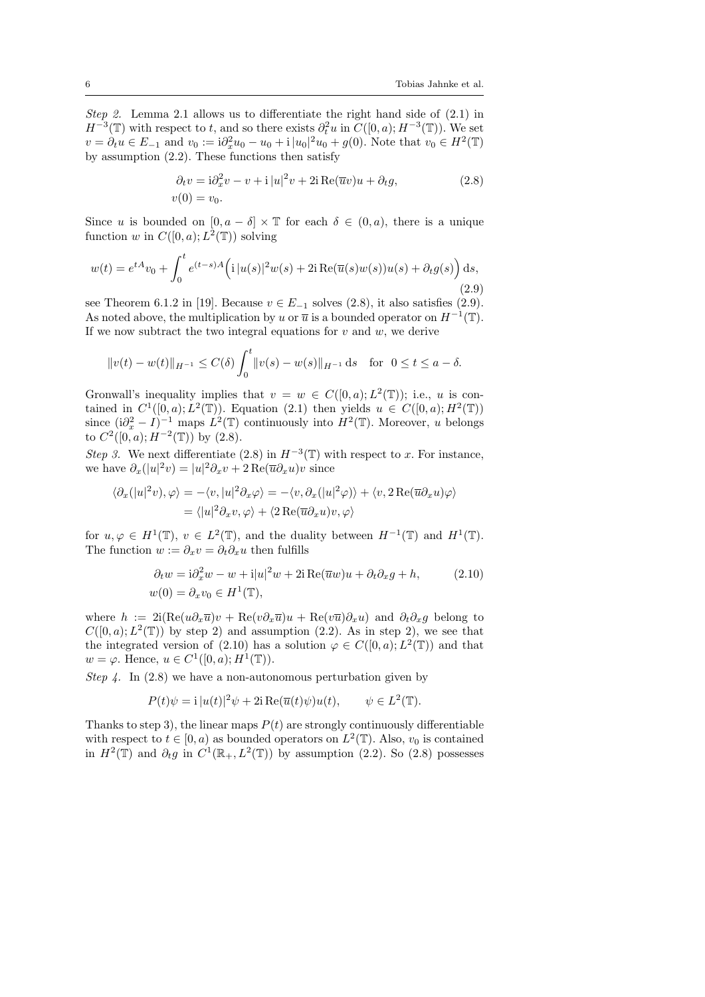Step 2. Lemma 2.1 allows us to differentiate the right hand side of (2.1) in  $H^{-3}(\mathbb{T})$  with respect to t, and so there exists  $\partial_t^2 u$  in  $C([0, a); H^{-3}(\mathbb{T}))$ . We set  $v = \partial_t u \in E_{-1}$  and  $v_0 := i \partial_x^2 u_0 - u_0 + i |u_0|^2 u_0 + g(0)$ . Note that  $v_0 \in H^2(\mathbb{T})$ by assumption (2.2). These functions then satisfy

$$
\partial_t v = i \partial_x^2 v - v + i |u|^2 v + 2i \operatorname{Re}(\overline{u}v)u + \partial_t g,
$$
  
\n
$$
v(0) = v_0.
$$
\n(2.8)

Since u is bounded on  $[0, a - \delta] \times \mathbb{T}$  for each  $\delta \in (0, a)$ , there is a unique function w in  $C([0, a); L^2(\mathbb{T}))$  solving

$$
w(t) = e^{tA}v_0 + \int_0^t e^{(t-s)A} \Big( \mathrm{i} |u(s)|^2 w(s) + 2\mathrm{i} \operatorname{Re}(\overline{u}(s)w(s))u(s) + \partial_t g(s) \Big) ds,
$$
\n(2.9)

see Theorem 6.1.2 in [19]. Because  $v \in E_{-1}$  solves (2.8), it also satisfies (2.9). As noted above, the multiplication by u or  $\overline{u}$  is a bounded operator on  $H^{-1}(\mathbb{T})$ . If we now subtract the two integral equations for  $v$  and  $w$ , we derive

$$
||v(t) - w(t)||_{H^{-1}} \leq C(\delta) \int_0^t ||v(s) - w(s)||_{H^{-1}} ds
$$
 for  $0 \leq t \leq a - \delta$ .

Gronwall's inequality implies that  $v = w \in C([0, a); L^2(\mathbb{T}))$ ; i.e., u is contained in  $C^1([0, a); L^2(\mathbb{T}))$ . Equation (2.1) then yields  $u \in C([0, a); H^2(\mathbb{T}))$ since  $(i\partial_x^2 - I)^{-1}$  maps  $L^2(\mathbb{T})$  continuously into  $H^2(\mathbb{T})$ . Moreover, u belongs to  $C^2([0, a); H^{-2}(\mathbb{T}))$  by  $(2.8)$ .

Step 3. We next differentiate (2.8) in  $H^{-3}(\mathbb{T})$  with respect to x. For instance, we have  $\partial_x(|u|^2v) = |u|^2 \partial_x v + 2 \operatorname{Re}(\overline{u}\partial_x u)v$  since

$$
\langle \partial_x (|u|^2 v), \varphi \rangle = -\langle v, |u|^2 \partial_x \varphi \rangle = -\langle v, \partial_x (|u|^2 \varphi) \rangle + \langle v, 2 \operatorname{Re}(\overline{u} \partial_x u) \varphi \rangle
$$
  
=  $\langle |u|^2 \partial_x v, \varphi \rangle + \langle 2 \operatorname{Re}(\overline{u} \partial_x u) v, \varphi \rangle$ 

for  $u, \varphi \in H^1(\mathbb{T})$ ,  $v \in L^2(\mathbb{T})$ , and the duality between  $H^{-1}(\mathbb{T})$  and  $H^1(\mathbb{T})$ . The function  $w := \partial_x v = \partial_t \partial_x u$  then fulfills

$$
\partial_t w = i \partial_x^2 w - w + i |u|^2 w + 2i \operatorname{Re}(\overline{u}w)u + \partial_t \partial_x g + h, \qquad (2.10)
$$
  

$$
w(0) = \partial_x v_0 \in H^1(\mathbb{T}),
$$

where  $h := 2i(Re(u\partial_x\overline{u})v + Re(v\partial_x\overline{u})u + Re(v\overline{u})\partial_xu)$  and  $\partial_t\partial_xg$  belong to  $C([0, a); L<sup>2</sup>(\mathbb{T}))$  by step 2) and assumption (2.2). As in step 2), we see that the integrated version of (2.10) has a solution  $\varphi \in C([0,a);L^2(\mathbb{T}))$  and that  $w = \varphi$ . Hence,  $u \in C^1([0, a); H^1(\mathbb{T}))$ .

Step 4. In  $(2.8)$  we have a non-autonomous perturbation given by

$$
P(t)\psi = \mathbf{i} |u(t)|^2 \psi + 2\mathbf{i} \operatorname{Re}(\overline{u}(t)\psi)u(t), \qquad \psi \in L^2(\mathbb{T}).
$$

Thanks to step 3), the linear maps  $P(t)$  are strongly continuously differentiable with respect to  $t \in [0, a)$  as bounded operators on  $L^2(\mathbb{T})$ . Also,  $v_0$  is contained in  $H^2(\mathbb{T})$  and  $\partial_t g$  in  $C^1(\mathbb{R}_+, L^2(\mathbb{T}))$  by assumption (2.2). So (2.8) possesses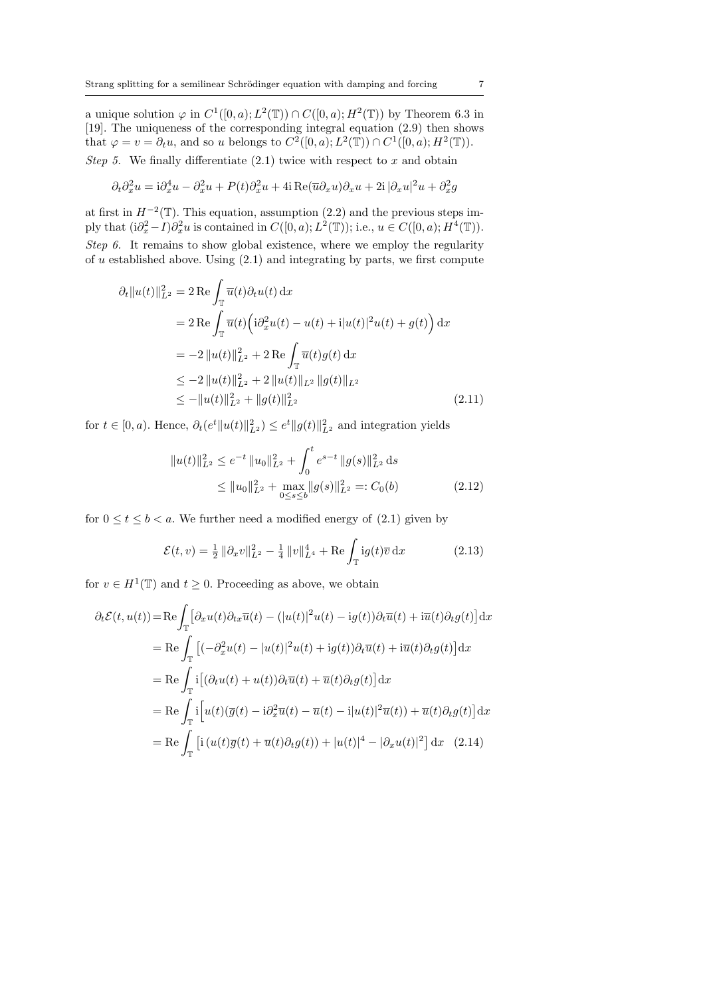a unique solution  $\varphi$  in  $C^1([0, a); L^2(\mathbb{T})) \cap C([0, a); H^2(\mathbb{T}))$  by Theorem 6.3 in [19]. The uniqueness of the corresponding integral equation (2.9) then shows that  $\varphi = v = \partial_t u$ , and so u belongs to  $C^2([0, a); L^2(\mathbb{T})) \cap C^1([0, a); H^2(\mathbb{T}))$ . Step 5. We finally differentiate  $(2.1)$  twice with respect to x and obtain

$$
\partial_t \partial_x^2 u = i \partial_x^4 u - \partial_x^2 u + P(t) \partial_x^2 u + 4i \operatorname{Re}(\overline{u} \partial_x u) \partial_x u + 2i |\partial_x u|^2 u + \partial_x^2 g
$$

at first in  $H^{-2}(\mathbb{T})$ . This equation, assumption (2.2) and the previous steps imply that  $(i\partial_x^2 - I)\partial_x^2 u$  is contained in  $C([0, a); L^2(\mathbb{T}))$ ; i.e.,  $u \in C([0, a); H^4(\mathbb{T}))$ . Step 6. It remains to show global existence, where we employ the regularity of u established above. Using  $(2.1)$  and integrating by parts, we first compute

$$
\partial_t \|u(t)\|_{L^2}^2 = 2 \operatorname{Re} \int_{\mathbb{T}} \overline{u}(t) \partial_t u(t) \, \mathrm{d}x
$$
  
\n
$$
= 2 \operatorname{Re} \int_{\mathbb{T}} \overline{u}(t) \left( i \partial_x^2 u(t) - u(t) + i |u(t)|^2 u(t) + g(t) \right) \mathrm{d}x
$$
  
\n
$$
= -2 \|u(t)\|_{L^2}^2 + 2 \operatorname{Re} \int_{\mathbb{T}} \overline{u}(t) g(t) \, \mathrm{d}x
$$
  
\n
$$
\leq -2 \|u(t)\|_{L^2}^2 + 2 \|u(t)\|_{L^2} \|g(t)\|_{L^2}
$$
  
\n
$$
\leq -\|u(t)\|_{L^2}^2 + \|g(t)\|_{L^2}^2 \tag{2.11}
$$

for  $t \in [0, a)$ . Hence,  $\partial_t (e^t \|u(t)\|_{L^2}^2) \le e^t \|g(t)\|_{L^2}^2$  and integration yields

$$
||u(t)||_{L^{2}}^{2} \leq e^{-t} ||u_{0}||_{L^{2}}^{2} + \int_{0}^{t} e^{s-t} ||g(s)||_{L^{2}}^{2} ds
$$
  
\n
$$
\leq ||u_{0}||_{L^{2}}^{2} + \max_{0 \leq s \leq b} ||g(s)||_{L^{2}}^{2} =: C_{0}(b)
$$
\n(2.12)

for  $0 \le t \le b < a$ . We further need a modified energy of (2.1) given by

$$
\mathcal{E}(t,v) = \frac{1}{2} \|\partial_x v\|_{L^2}^2 - \frac{1}{4} \|v\|_{L^4}^4 + \text{Re} \int_{\mathbb{T}} i g(t) \overline{v} \,dx \tag{2.13}
$$

for  $v \in H^1(\mathbb{T})$  and  $t \geq 0$ . Proceeding as above, we obtain

$$
\partial_t \mathcal{E}(t, u(t)) = \text{Re} \int_{\mathbb{T}} \left[ \partial_x u(t) \partial_{tx} \overline{u}(t) - (|u(t)|^2 u(t) - ig(t)) \partial_t \overline{u}(t) + i \overline{u}(t) \partial_t g(t) \right] dx
$$
  
\n
$$
= \text{Re} \int_{\mathbb{T}} \left[ (-\partial_x^2 u(t) - |u(t)|^2 u(t) + ig(t)) \partial_t \overline{u}(t) + i \overline{u}(t) \partial_t g(t) \right] dx
$$
  
\n
$$
= \text{Re} \int_{\mathbb{T}} i \left[ (\partial_t u(t) + u(t)) \partial_t \overline{u}(t) + \overline{u}(t) \partial_t g(t) \right] dx
$$
  
\n
$$
= \text{Re} \int_{\mathbb{T}} i \left[ u(t) (\overline{g}(t) - i \partial_x^2 \overline{u}(t) - \overline{u}(t) - i |u(t)|^2 \overline{u}(t)) + \overline{u}(t) \partial_t g(t) \right] dx
$$
  
\n
$$
= \text{Re} \int_{\mathbb{T}} \left[ i (u(t) \overline{g}(t) + \overline{u}(t) \partial_t g(t)) + |u(t)|^4 - |\partial_x u(t)|^2 \right] dx \quad (2.14)
$$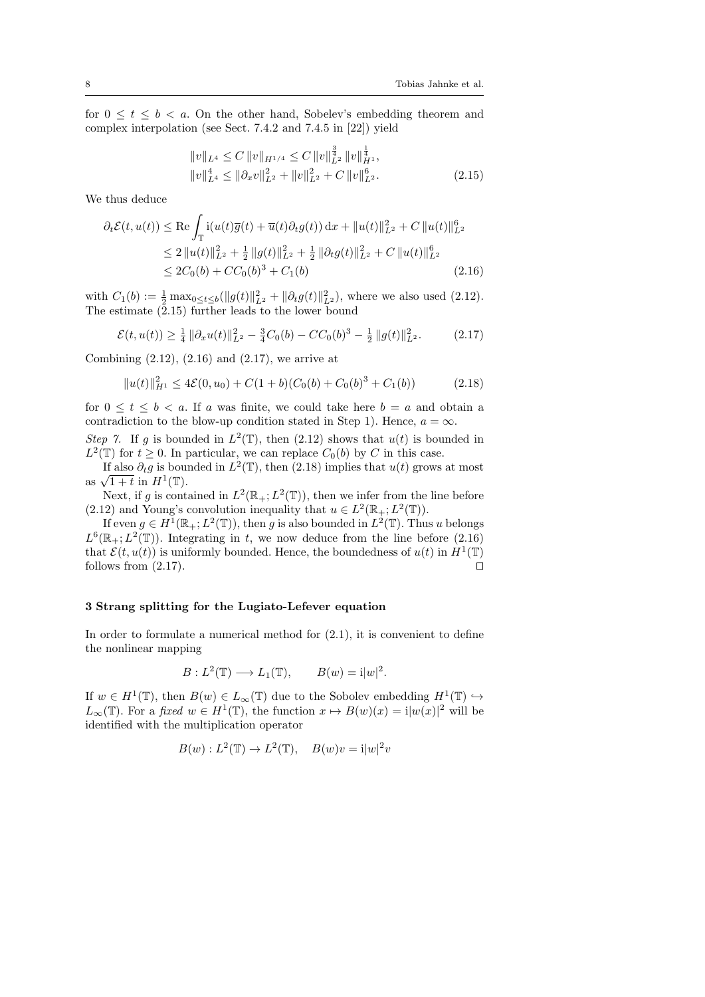for  $0 \leq t \leq b \leq a$ . On the other hand, Sobelev's embedding theorem and complex interpolation (see Sect. 7.4.2 and 7.4.5 in [22]) yield

$$
||v||_{L^{4}} \leq C ||v||_{H^{1/4}} \leq C ||v||_{L^{2}}^{\frac{3}{4}} ||v||_{H^{1}}^{\frac{1}{4}},
$$
  

$$
||v||_{L^{4}}^{4} \leq ||\partial_{x}v||_{L^{2}}^{2} + ||v||_{L^{2}}^{2} + C ||v||_{L^{2}}^{6}.
$$
 (2.15)

We thus deduce

$$
\partial_t \mathcal{E}(t, u(t)) \le \text{Re} \int_{\mathbb{T}} \mathbf{i}(u(t)\overline{g}(t) + \overline{u}(t)\partial_t g(t)) \, dx + \|u(t)\|_{L^2}^2 + C \|u(t)\|_{L^2}^6
$$
\n
$$
\le 2 \|u(t)\|_{L^2}^2 + \frac{1}{2} \|g(t)\|_{L^2}^2 + \frac{1}{2} \|\partial_t g(t)\|_{L^2}^2 + C \|u(t)\|_{L^2}^6
$$
\n
$$
\le 2C_0(b) + CC_0(b)^3 + C_1(b) \tag{2.16}
$$

with  $C_1(b) := \frac{1}{2} \max_{0 \le t \le b} (\|g(t)\|_{L^2}^2 + \|\partial_t g(t)\|_{L^2}^2)$ , where we also used (2.12). The estimate  $(2.15)$  further leads to the lower bound

$$
\mathcal{E}(t, u(t)) \ge \frac{1}{4} \|\partial_x u(t)\|_{L^2}^2 - \frac{3}{4}C_0(b) - CC_0(b)^3 - \frac{1}{2} \|g(t)\|_{L^2}^2. \tag{2.17}
$$

Combining  $(2.12)$ ,  $(2.16)$  and  $(2.17)$ , we arrive at

$$
||u(t)||_{H^1}^2 \le 4\mathcal{E}(0, u_0) + C(1+b)(C_0(b) + C_0(b)^3 + C_1(b))
$$
 (2.18)

for  $0 \leq t \leq b < a$ . If a was finite, we could take here  $b = a$  and obtain a contradiction to the blow-up condition stated in Step 1). Hence,  $a = \infty$ .

Step 7. If g is bounded in  $L^2(\mathbb{T})$ , then (2.12) shows that  $u(t)$  is bounded in  $L^2(\mathbb{T})$  for  $t \geq 0$ . In particular, we can replace  $C_0(b)$  by C in this case.

If also  $\partial_t g$  is bounded in  $L^2(\mathbb{T})$ , then (2.18) implies that  $u(t)$  grows at most  $\frac{1}{2}$  and  $\frac{\partial_t g}{\partial t}$  is bounded in  $H^1(\mathbb{T})$ .

Next, if g is contained in  $L^2(\mathbb{R}_+; L^2(\mathbb{T}))$ , then we infer from the line before (2.12) and Young's convolution inequality that  $u \in L^2(\mathbb{R}_+; L^2(\mathbb{T}))$ .

If even  $g \in H^1(\mathbb{R}_+; L^2(\mathbb{T}))$ , then g is also bounded in  $L^2(\mathbb{T})$ . Thus u belongs  $L^6(\mathbb{R}_+; L^2(\mathbb{T}))$ . Integrating in t, we now deduce from the line before (2.16) that  $\mathcal{E}(t, u(t))$  is uniformly bounded. Hence, the boundedness of  $u(t)$  in  $H^1(\mathbb{T})$ follows from  $(2.17)$ .

### 3 Strang splitting for the Lugiato-Lefever equation

In order to formulate a numerical method for  $(2.1)$ , it is convenient to define the nonlinear mapping

$$
B: L^{2}(\mathbb{T}) \longrightarrow L_{1}(\mathbb{T}), \qquad B(w) = i|w|^{2}.
$$

If  $w \in H^1(\mathbb{T})$ , then  $B(w) \in L_\infty(\mathbb{T})$  due to the Sobolev embedding  $H^1(\mathbb{T}) \hookrightarrow$  $L_{\infty}(\mathbb{T})$ . For a fixed  $w \in H^1(\mathbb{T})$ , the function  $x \mapsto B(w)(x) = i|w(x)|^2$  will be identified with the multiplication operator

$$
B(w): L^2(\mathbb{T}) \to L^2(\mathbb{T}), \quad B(w)v = i|w|^2v
$$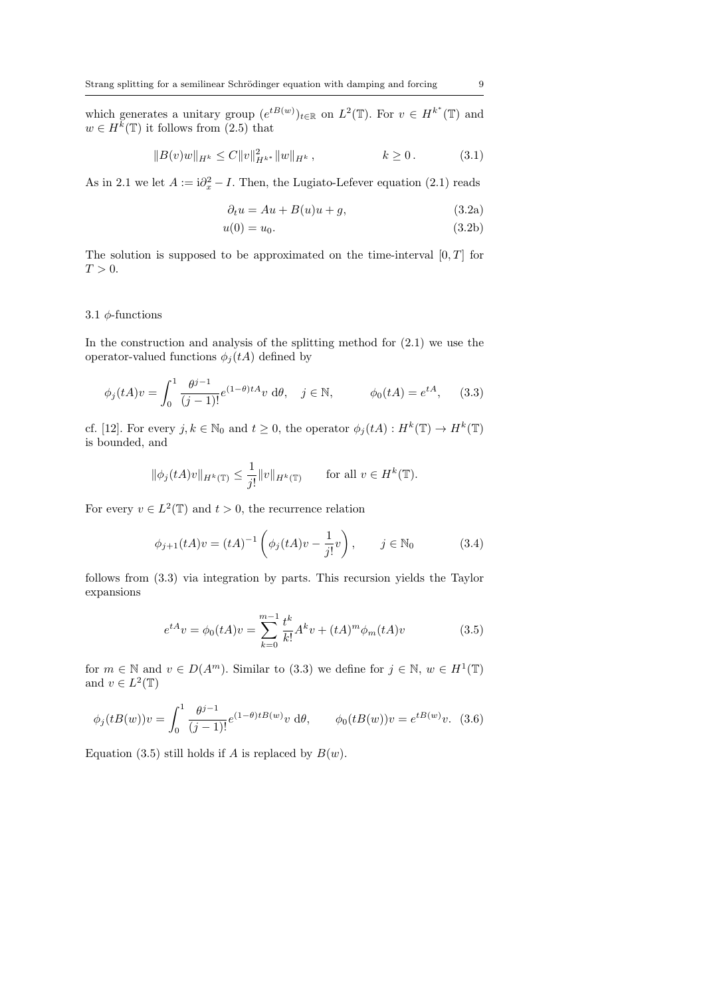which generates a unitary group  $(e^{tB(w)})_{t\in\mathbb{R}}$  on  $L^2(\mathbb{T})$ . For  $v \in H^{k^*}(\mathbb{T})$  and  $w \in H^{\overline{k}}(\mathbb{T})$  it follows from  $(2.5)$  that

$$
||B(v)w||_{H^k} \le C||v||_{H^{k^*}}^2||w||_{H^k}, \qquad k \ge 0. \tag{3.1}
$$

As in 2.1 we let  $A := \mathrm{i}\partial_x^2 - I$ . Then, the Lugiato-Lefever equation (2.1) reads

$$
\partial_t u = Au + B(u)u + g,\tag{3.2a}
$$

$$
u(0) = u_0. \t\t(3.2b)
$$

The solution is supposed to be approximated on the time-interval  $[0, T]$  for  $T > 0$ .

#### 3.1  $\phi$ -functions

In the construction and analysis of the splitting method for  $(2.1)$  we use the operator-valued functions  $\phi_i(tA)$  defined by

$$
\phi_j(tA)v = \int_0^1 \frac{\theta^{j-1}}{(j-1)!} e^{(1-\theta)tA}v \, d\theta, \quad j \in \mathbb{N}, \qquad \phi_0(tA) = e^{tA}, \qquad (3.3)
$$

cf. [12]. For every  $j, k \in \mathbb{N}_0$  and  $t \geq 0$ , the operator  $\phi_j(tA) : H^k(\mathbb{T}) \to H^k(\mathbb{T})$ is bounded, and

$$
\|\phi_j(tA)v\|_{H^k(\mathbb{T})} \le \frac{1}{j!} \|v\|_{H^k(\mathbb{T})} \quad \text{for all } v \in H^k(\mathbb{T}).
$$

For every  $v \in L^2(\mathbb{T})$  and  $t > 0$ , the recurrence relation

$$
\phi_{j+1}(tA)v = (tA)^{-1} \left( \phi_j(tA)v - \frac{1}{j!}v \right), \qquad j \in \mathbb{N}_0
$$
 (3.4)

follows from (3.3) via integration by parts. This recursion yields the Taylor expansions

$$
e^{tA}v = \phi_0(tA)v = \sum_{k=0}^{m-1} \frac{t^k}{k!} A^k v + (tA)^m \phi_m(tA)v
$$
 (3.5)

for  $m \in \mathbb{N}$  and  $v \in D(A^m)$ . Similar to (3.3) we define for  $j \in \mathbb{N}$ ,  $w \in H^1(\mathbb{T})$ and  $v \in L^2(\mathbb{T})$ 

$$
\phi_j(tB(w))v = \int_0^1 \frac{\theta^{j-1}}{(j-1)!} e^{(1-\theta)tB(w)} v \, d\theta, \qquad \phi_0(tB(w))v = e^{tB(w)}v. \tag{3.6}
$$

Equation (3.5) still holds if A is replaced by  $B(w)$ .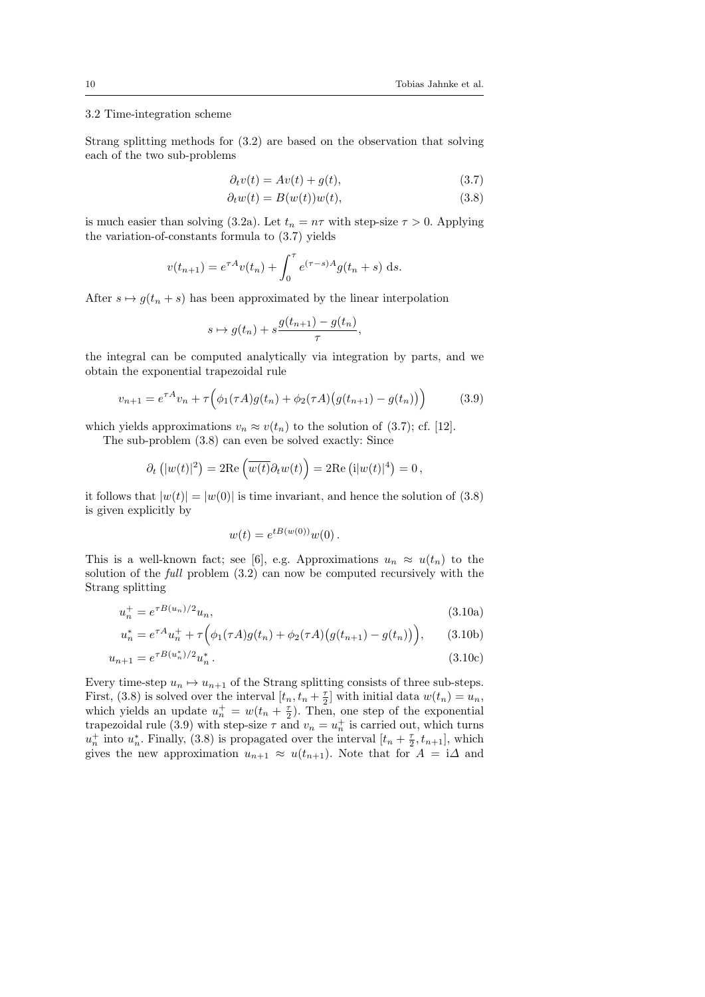#### 3.2 Time-integration scheme

Strang splitting methods for (3.2) are based on the observation that solving each of the two sub-problems

$$
\partial_t v(t) = Av(t) + g(t),\tag{3.7}
$$

$$
\partial_t w(t) = B(w(t))w(t),\tag{3.8}
$$

is much easier than solving (3.2a). Let  $t_n = n\tau$  with step-size  $\tau > 0$ . Applying the variation-of-constants formula to (3.7) yields

$$
v(t_{n+1}) = e^{\tau A} v(t_n) + \int_0^{\tau} e^{(\tau - s)A} g(t_n + s) ds.
$$

After  $s \mapsto g(t_n + s)$  has been approximated by the linear interpolation

$$
s \mapsto g(t_n) + s \frac{g(t_{n+1}) - g(t_n)}{\tau},
$$

the integral can be computed analytically via integration by parts, and we obtain the exponential trapezoidal rule

$$
v_{n+1} = e^{\tau A} v_n + \tau \Big( \phi_1(\tau A) g(t_n) + \phi_2(\tau A) \big( g(t_{n+1}) - g(t_n) \big) \Big) \tag{3.9}
$$

which yields approximations  $v_n \approx v(t_n)$  to the solution of (3.7); cf. [12].

The sub-problem (3.8) can even be solved exactly: Since

$$
\partial_t (|w(t)|^2) = 2\mathrm{Re}(\overline{w(t)}\partial_t w(t)) = 2\mathrm{Re} (i|w(t)|^4) = 0,
$$

it follows that  $|w(t)| = |w(0)|$  is time invariant, and hence the solution of (3.8) is given explicitly by

$$
w(t) = e^{tB(w(0))}w(0).
$$

This is a well-known fact; see [6], e.g. Approximations  $u_n \approx u(t_n)$  to the solution of the full problem (3.2) can now be computed recursively with the Strang splitting

$$
u_n^+ = e^{\tau B(u_n)/2} u_n,\tag{3.10a}
$$

$$
u_n^* = e^{\tau A} u_n^+ + \tau \Big( \phi_1(\tau A) g(t_n) + \phi_2(\tau A) \big( g(t_{n+1}) - g(t_n) \big) \Big), \qquad (3.10b)
$$

$$
u_{n+1} = e^{\tau B(u_n^*)/2} u_n^* \,. \tag{3.10c}
$$

Every time-step  $u_n \mapsto u_{n+1}$  of the Strang splitting consists of three sub-steps. First, (3.8) is solved over the interval  $[t_n, t_n + \frac{\tau}{2}]$  with initial data  $w(t_n) = u_n$ , which yields an update  $u_n^+ = w(t_n + \frac{\tau}{2})$ . Then, one step of the exponential trapezoidal rule (3.9) with step-size  $\tau$  and  $v_n = u_n^+$  is carried out, which turns  $u_n^+$  into  $u_n^*$ . Finally, (3.8) is propagated over the interval  $[t_n + \frac{\tau}{2}, t_{n+1}]$ , which gives the new approximation  $u_{n+1} \approx u(t_{n+1})$ . Note that for  $A = i\Delta$  and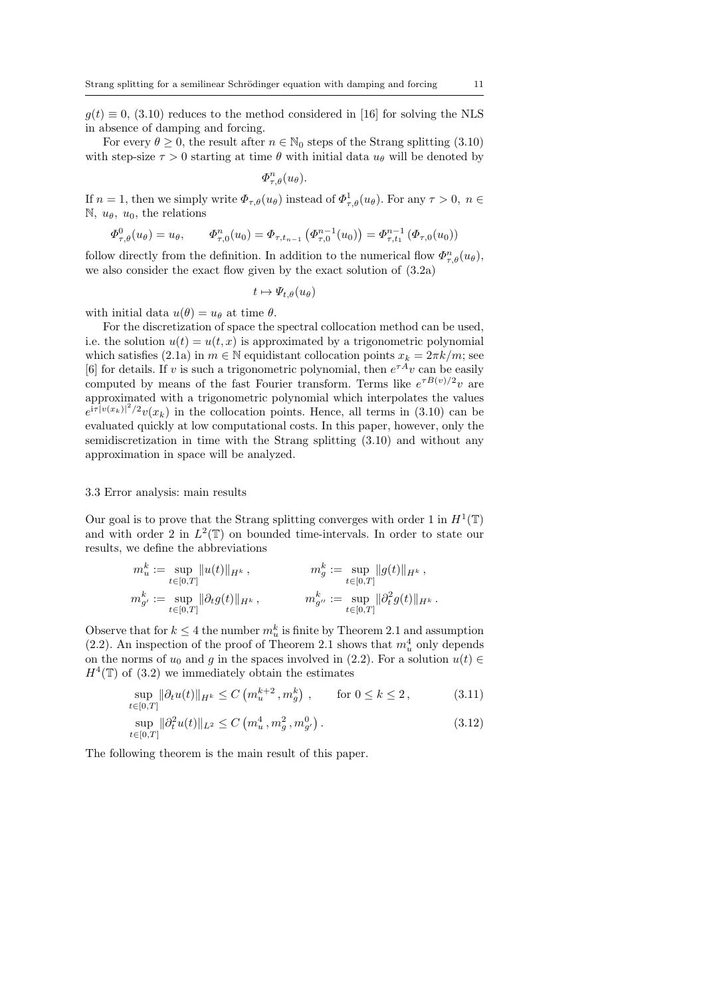$g(t) \equiv 0$ , (3.10) reduces to the method considered in [16] for solving the NLS in absence of damping and forcing.

For every  $\theta > 0$ , the result after  $n \in \mathbb{N}_0$  steps of the Strang splitting (3.10) with step-size  $\tau > 0$  starting at time  $\theta$  with initial data  $u_{\theta}$  will be denoted by

$$
\varPhi_{\tau,\theta}^n(u_\theta).
$$

If  $n = 1$ , then we simply write  $\Phi_{\tau,\theta}(u_{\theta})$  instead of  $\Phi_{\tau,\theta}^1(u_{\theta})$ . For any  $\tau > 0$ ,  $n \in$ N,  $u_{\theta}$ ,  $u_0$ , the relations

$$
\Phi_{\tau,\theta}^0(u_\theta) = u_\theta, \qquad \Phi_{\tau,0}^n(u_0) = \Phi_{\tau,t_{n-1}}\left(\Phi_{\tau,0}^{n-1}(u_0)\right) = \Phi_{\tau,t_1}^{n-1}\left(\Phi_{\tau,0}(u_0)\right)
$$

follow directly from the definition. In addition to the numerical flow  $\Phi_{\tau,\theta}^n(u_\theta)$ , we also consider the exact flow given by the exact solution of (3.2a)

$$
t\mapsto \varPsi_{t,\theta}(u_\theta)
$$

with initial data  $u(\theta) = u_{\theta}$  at time  $\theta$ .

For the discretization of space the spectral collocation method can be used, i.e. the solution  $u(t) = u(t, x)$  is approximated by a trigonometric polynomial which satisfies (2.1a) in  $m \in \mathbb{N}$  equidistant collocation points  $x_k = 2\pi k/m$ ; see [6] for details. If v is such a trigonometric polynomial, then  $e^{\tau A}v$  can be easily computed by means of the fast Fourier transform. Terms like  $e^{\tau B(v)/2}v$  are approximated with a trigonometric polynomial which interpolates the values  $e^{i\tau|v(x_k)|^2/2}v(x_k)$  in the collocation points. Hence, all terms in (3.10) can be evaluated quickly at low computational costs. In this paper, however, only the semidiscretization in time with the Strang splitting (3.10) and without any approximation in space will be analyzed.

#### 3.3 Error analysis: main results

Our goal is to prove that the Strang splitting converges with order 1 in  $H^1(\mathbb{T})$ and with order 2 in  $L^2(\mathbb{T})$  on bounded time-intervals. In order to state our results, we define the abbreviations

$$
m_u^k := \sup_{t \in [0,T]} \|u(t)\|_{H^k},
$$
  
\n
$$
m_g^k := \sup_{t \in [0,T]} \|g(t)\|_{H^k},
$$
  
\n
$$
m_{g'}^k := \sup_{t \in [0,T]} \|\partial_t g(t)\|_{H^k},
$$
  
\n
$$
m_{g''}^k := \sup_{t \in [0,T]} \|\partial_t^2 g(t)\|_{H^k}.
$$

Observe that for  $k \leq 4$  the number  $m_u^k$  is finite by Theorem 2.1 and assumption (2.2). An inspection of the proof of Theorem 2.1 shows that  $m_u^4$  only depends on the norms of  $u_0$  and g in the spaces involved in (2.2). For a solution  $u(t) \in$  $H^4(\mathbb{T})$  of (3.2) we immediately obtain the estimates

$$
\sup_{t \in [0,T]} \|\partial_t u(t)\|_{H^k} \le C \left( m_u^{k+2}, m_g^k \right) , \qquad \text{for } 0 \le k \le 2 , \tag{3.11}
$$

$$
\sup_{t \in [0,T]} \|\partial_t^2 u(t)\|_{L^2} \le C\left(m_u^4, m_g^2, m_{g'}^0\right). \tag{3.12}
$$

The following theorem is the main result of this paper.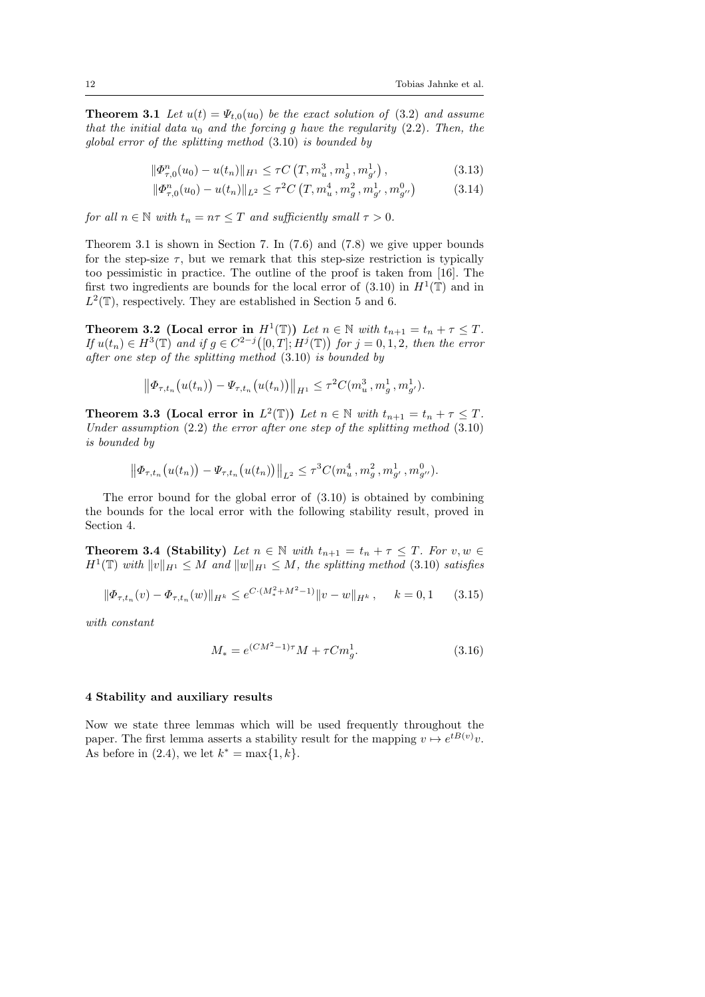**Theorem 3.1** Let  $u(t) = \Psi_{t,0}(u_0)$  be the exact solution of (3.2) and assume that the initial data  $u_0$  and the forcing g have the regularity (2.2). Then, the global error of the splitting method (3.10) is bounded by

$$
\|\Phi_{\tau,0}^n(u_0) - u(t_n)\|_{H^1} \le \tau C\left(T, m_u^3, m_g^1, m_{g'}^1\right),\tag{3.13}
$$

$$
\|\Phi_{\tau,0}^n(u_0) - u(t_n)\|_{L^2} \le \tau^2 C\left(T, m_u^4, m_g^2, m_{g'}^1, m_{g''}^0\right) \tag{3.14}
$$

for all  $n \in \mathbb{N}$  with  $t_n = n\tau \leq T$  and sufficiently small  $\tau > 0$ .

Theorem 3.1 is shown in Section 7. In (7.6) and (7.8) we give upper bounds for the step-size  $\tau$ , but we remark that this step-size restriction is typically too pessimistic in practice. The outline of the proof is taken from [16]. The first two ingredients are bounds for the local error of  $(3.10)$  in  $H^1(\mathbb{T})$  and in  $L^2(\mathbb{T})$ , respectively. They are established in Section 5 and 6.

**Theorem 3.2** (Local error in  $H^1(\mathbb{T})$ ) Let  $n \in \mathbb{N}$  with  $t_{n+1} = t_n + \tau \leq T$ . If  $u(t_n) \in H^3(\mathbb{T})$  and if  $g \in C^{2-j}([0,T];H^j(\mathbb{T}))$  for  $j=0,1,2$ , then the error after one step of the splitting method (3.10) is bounded by

$$
\left\|\Phi_{\tau,t_n}\big(u(t_n)\big)-\Psi_{\tau,t_n}\big(u(t_n)\big)\right\|_{H^1}\leq \tau^2 C(m_u^3,m_g^1,m_{g'}^1).
$$

**Theorem 3.3 (Local error in**  $L^2(\mathbb{T})$ ) Let  $n \in \mathbb{N}$  with  $t_{n+1} = t_n + \tau \leq T$ . Under assumption  $(2.2)$  the error after one step of the splitting method  $(3.10)$ is bounded by

$$
\left\|\Phi_{\tau,t_n}\big(u(t_n)\big)-\Psi_{\tau,t_n}\big(u(t_n)\big)\right\|_{L^2}\leq \tau^3 C(m_u^4,m_g^2,m_{g'}^1,m_{g''}^0).
$$

The error bound for the global error of (3.10) is obtained by combining the bounds for the local error with the following stability result, proved in Section 4.

**Theorem 3.4 (Stability)** Let  $n \in \mathbb{N}$  with  $t_{n+1} = t_n + \tau \leq T$ . For  $v, w \in$  $H^1(\mathbb{T})$  with  $||v||_{H^1} \leq M$  and  $||w||_{H^1} \leq M$ , the splitting method (3.10) satisfies

$$
\|\Phi_{\tau,t_n}(v) - \Phi_{\tau,t_n}(w)\|_{H^k} \le e^{C\cdot(M_*^2 + M^2 - 1)} \|v - w\|_{H^k}, \quad k = 0, 1 \quad (3.15)
$$

with constant

$$
M_* = e^{(CM^2 - 1)\tau} M + \tau C m_g^1.
$$
\n(3.16)

#### 4 Stability and auxiliary results

Now we state three lemmas which will be used frequently throughout the paper. The first lemma asserts a stability result for the mapping  $v \mapsto e^{tB(v)}v$ . As before in (2.4), we let  $k^* = \max\{1, k\}.$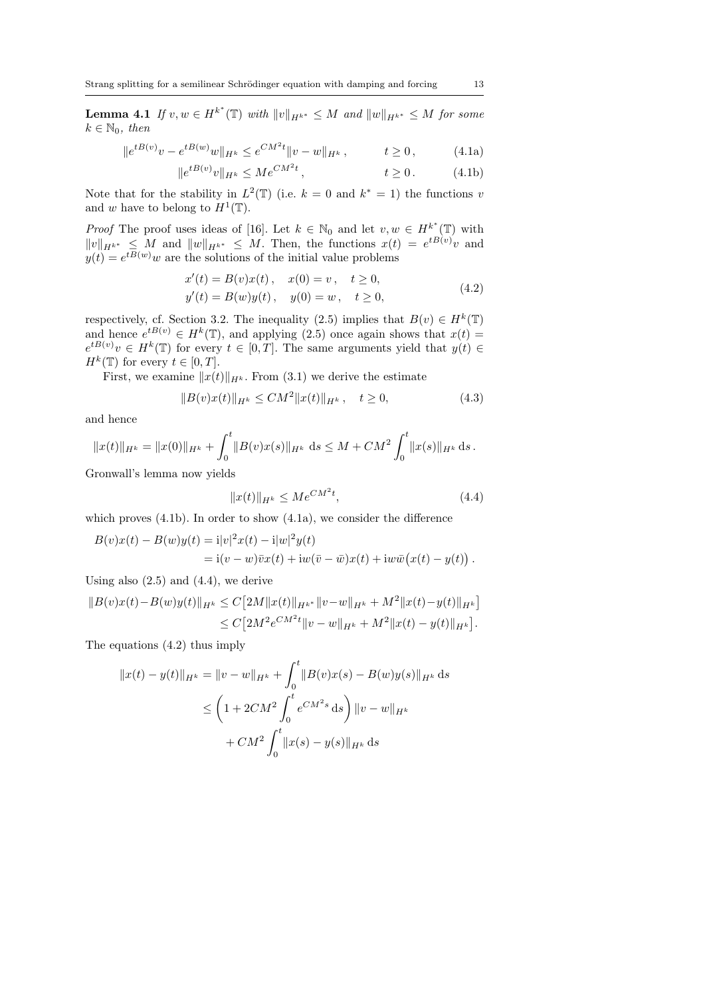**Lemma 4.1** If  $v, w \in H^{k^*}(\mathbb{T})$  with  $||v||_{H^{k^*}} \leq M$  and  $||w||_{H^{k^*}} \leq M$  for some  $k \in \mathbb{N}_0$ , then

$$
||e^{tB(v)}v - e^{tB(w)}w||_{H^k} \le e^{CM^2t} ||v - w||_{H^k}, \qquad t \ge 0, \qquad (4.1a)
$$

$$
||e^{tB(v)}v||_{H^k} \le Me^{CM^2t}, \t t \ge 0.
$$
 (4.1b)

Note that for the stability in  $L^2(\mathbb{T})$  (i.e.  $k = 0$  and  $k^* = 1$ ) the functions v and w have to belong to  $H^1(\mathbb{T})$ .

*Proof* The proof uses ideas of [16]. Let  $k \in \mathbb{N}_0$  and let  $v, w \in H^{k^*}(\mathbb{T})$  with  $||v||_{H^{k^*}} \leq M$  and  $||w||_{H^{k^*}} \leq M$ . Then, the functions  $x(t) = e^{tB(v)}v$  and  $y(t) = e^{tB(w)}w$  are the solutions of the initial value problems

$$
x'(t) = B(v)x(t), \quad x(0) = v, \quad t \ge 0,
$$
  
\n
$$
y'(t) = B(w)y(t), \quad y(0) = w, \quad t \ge 0,
$$
\n(4.2)

respectively, cf. Section 3.2. The inequality (2.5) implies that  $B(v) \in H^k(\mathbb{T})$ and hence  $e^{tB(v)} \in H^k(\mathbb{T})$ , and applying (2.5) once again shows that  $x(t) =$  $e^{tB(v)}v \in H^k(\mathbb{T})$  for every  $t \in [0,T]$ . The same arguments yield that  $y(t) \in$  $H^k(\mathbb{T})$  for every  $t \in [0, T]$ .

First, we examine  $||x(t)||_{H^k}$ . From (3.1) we derive the estimate

$$
||B(v)x(t)||_{H^k} \le CM^2 ||x(t)||_{H^k}, \quad t \ge 0,
$$
\n(4.3)

and hence

$$
||x(t)||_{H^k} = ||x(0)||_{H^k} + \int_0^t ||B(v)x(s)||_{H^k} ds \le M + CM^2 \int_0^t ||x(s)||_{H^k} ds.
$$

Gronwall's lemma now yields

$$
||x(t)||_{H^k} \le Me^{CM^2t},\tag{4.4}
$$

which proves  $(4.1b)$ . In order to show  $(4.1a)$ , we consider the difference

$$
B(v)x(t) - B(w)y(t) = i|v|^2x(t) - i|w|^2y(t)
$$
  
= 
$$
i(v - w)\overline{v}x(t) + iw(\overline{v} - \overline{w})x(t) + iw\overline{w}(x(t) - y(t)).
$$

Using also  $(2.5)$  and  $(4.4)$ , we derive

$$
||B(v)x(t) - B(w)y(t)||_{H^k} \le C[2M||x(t)||_{H^{k^*}}||v-w||_{H^k} + M^2||x(t) - y(t)||_{H^k}]
$$
  
\n
$$
\le C[2M^2e^{CM^2t}||v-w||_{H^k} + M^2||x(t) - y(t)||_{H^k}].
$$

The equations (4.2) thus imply

$$
||x(t) - y(t)||_{H^k} = ||v - w||_{H^k} + \int_0^t ||B(v)x(s) - B(w)y(s)||_{H^k} ds
$$
  
\n
$$
\leq \left(1 + 2CM^2 \int_0^t e^{CM^2 s} ds\right) ||v - w||_{H^k}
$$
  
\n
$$
+ CM^2 \int_0^t ||x(s) - y(s)||_{H^k} ds
$$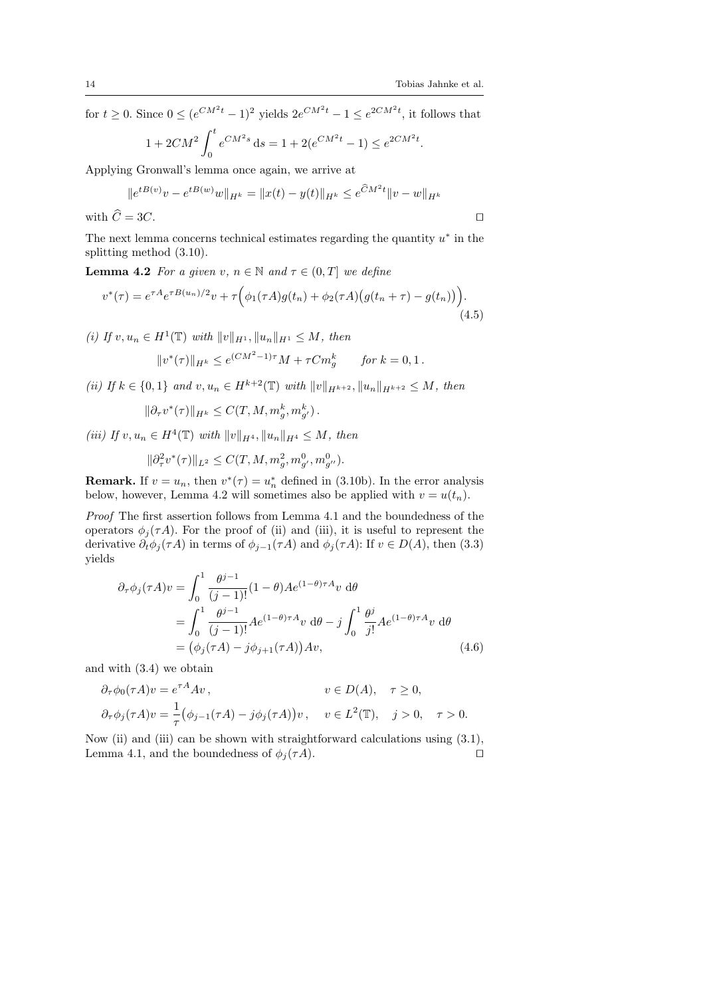for  $t \geq 0$ . Since  $0 \leq (e^{CM^2t} - 1)^2$  yields  $2e^{CM^2t} - 1 \leq e^{2CM^2t}$ , it follows that

$$
1 + 2CM^{2} \int_{0}^{t} e^{CM^{2}s} ds = 1 + 2(e^{CM^{2}t} - 1) \le e^{2CM^{2}t}.
$$

Applying Gronwall's lemma once again, we arrive at

$$
||e^{tB(v)}v - e^{tB(w)}w||_{H^k} = ||x(t) - y(t)||_{H^k} \le e^{\widehat{C}M^2t}||v - w||_{H^k}
$$

with  $C = 3C$ .

The next lemma concerns technical estimates regarding the quantity  $u^*$  in the splitting method (3.10).

**Lemma 4.2** For a given v,  $n \in \mathbb{N}$  and  $\tau \in (0, T]$  we define

$$
v^*(\tau) = e^{\tau A} e^{\tau B(u_n)/2} v + \tau \Big( \phi_1(\tau A) g(t_n) + \phi_2(\tau A) \big( g(t_n + \tau) - g(t_n) \big) \Big). \tag{4.5}
$$

(i) If  $v, u_n \in H^1(\mathbb{T})$  with  $||v||_{H^1}, ||u_n||_{H^1} \leq M$ , then  $(2.725)$ 

$$
||v^*(\tau)||_{H^k} \le e^{(CM^2 - 1)\tau} M + \tau C m_g^k \quad \text{for } k = 0, 1.
$$

(ii) If  $k \in \{0,1\}$  and  $v, u_n \in H^{k+2}(\mathbb{T})$  with  $||v||_{H^{k+2}}$ ,  $||u_n||_{H^{k+2}} \leq M$ , then

$$
\|\partial_\tau v^*(\tau)\|_{H^k} \le C(T, M, m_g^k, m_{g'}^k).
$$

(iii) If  $v, u_n \in H^4(\mathbb{T})$  with  $||v||_{H^4}, ||u_n||_{H^4} \leq M$ , then

$$
\|\partial^2_\tau v^*(\tau)\|_{L^2}\leq C(T,M,m_g^2,m_{g'}^0,m_{g''}^0).
$$

**Remark.** If  $v = u_n$ , then  $v^*(\tau) = u_n^*$  defined in (3.10b). In the error analysis below, however, Lemma 4.2 will sometimes also be applied with  $v = u(t_n)$ .

Proof The first assertion follows from Lemma 4.1 and the boundedness of the operators  $\phi_j(\tau A)$ . For the proof of (ii) and (iii), it is useful to represent the derivative  $\partial_t \phi_j(\tau A)$  in terms of  $\phi_{j-1}(\tau A)$  and  $\phi_j(\tau A)$ : If  $v \in D(A)$ , then (3.3) yields

$$
\partial_{\tau}\phi_{j}(\tau A)v = \int_{0}^{1} \frac{\theta^{j-1}}{(j-1)!} (1-\theta)Ae^{(1-\theta)\tau A}v \,d\theta \n= \int_{0}^{1} \frac{\theta^{j-1}}{(j-1)!} Ae^{(1-\theta)\tau A}v \,d\theta - j \int_{0}^{1} \frac{\theta^{j}}{j!} Ae^{(1-\theta)\tau A}v \,d\theta \n= (\phi_{j}(\tau A) - j\phi_{j+1}(\tau A))Av,
$$
\n(4.6)

and with (3.4) we obtain

$$
\partial_{\tau}\phi_0(\tau A)v = e^{\tau A}Av, \qquad v \in D(A), \quad \tau \ge 0,
$$
  

$$
\partial_{\tau}\phi_j(\tau A)v = \frac{1}{\tau}(\phi_{j-1}(\tau A) - j\phi_j(\tau A))v, \quad v \in L^2(\mathbb{T}), \quad j > 0, \quad \tau > 0.
$$

Now (ii) and (iii) can be shown with straightforward calculations using (3.1), Lemma 4.1, and the boundedness of  $\phi_i(\tau A)$ .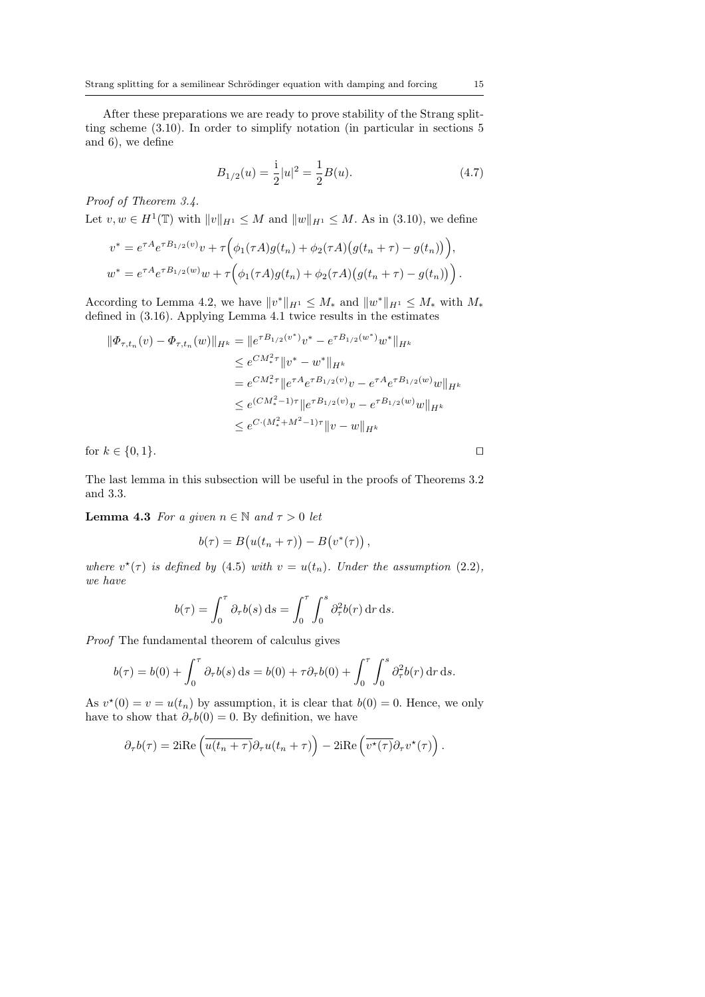After these preparations we are ready to prove stability of the Strang splitting scheme (3.10). In order to simplify notation (in particular in sections 5 and 6), we define

$$
B_{1/2}(u) = \frac{1}{2}|u|^2 = \frac{1}{2}B(u). \tag{4.7}
$$

Proof of Theorem 3.4.

Let  $v, w \in H^1(\mathbb{T})$  with  $||v||_{H^1} \leq M$  and  $||w||_{H^1} \leq M$ . As in (3.10), we define

$$
v^* = e^{\tau A} e^{\tau B_{1/2}(v)} v + \tau \Big( \phi_1(\tau A) g(t_n) + \phi_2(\tau A) \big( g(t_n + \tau) - g(t_n) \big) \Big),
$$
  

$$
w^* = e^{\tau A} e^{\tau B_{1/2}(w)} w + \tau \Big( \phi_1(\tau A) g(t_n) + \phi_2(\tau A) \big( g(t_n + \tau) - g(t_n) \big) \Big).
$$

According to Lemma 4.2, we have  $||v^*||_{H^1} \leq M_*$  and  $||w^*||_{H^1} \leq M_*$  with  $M_*$ defined in (3.16). Applying Lemma 4.1 twice results in the estimates

$$
\begin{aligned} \|\Phi_{\tau,t_n}(v) - \Phi_{\tau,t_n}(w)\|_{H^k} &= \|e^{\tau B_{1/2}(v^*)}v^* - e^{\tau B_{1/2}(w^*)}w^*\|_{H^k} \\ &\leq e^{CM_*^2\tau}\|v^* - w^*\|_{H^k} \\ &= e^{CM_*^2\tau}\|e^{\tau A}e^{\tau B_{1/2}(v)}v - e^{\tau A}e^{\tau B_{1/2}(w)}w\|_{H^k} \\ &\leq e^{(CM_*^2-1)\tau}\|e^{\tau B_{1/2}(v)}v - e^{\tau B_{1/2}(w)}w\|_{H^k} \\ &\leq e^{C\cdot(M_*^2+M^2-1)\tau}\|v - w\|_{H^k} \end{aligned}
$$

for  $k \in \{0, 1\}$ .

The last lemma in this subsection will be useful in the proofs of Theorems 3.2 and 3.3.

**Lemma 4.3** For a given  $n \in \mathbb{N}$  and  $\tau > 0$  let

$$
b(\tau) = B(u(t_n + \tau)) - B(v^*(\tau)),
$$

where  $v^*(\tau)$  is defined by (4.5) with  $v = u(t_n)$ . Under the assumption (2.2), we have

$$
b(\tau) = \int_0^{\tau} \partial_{\tau} b(s) \, ds = \int_0^{\tau} \int_0^s \partial_{\tau}^2 b(r) \, dr \, ds.
$$

Proof The fundamental theorem of calculus gives

$$
b(\tau) = b(0) + \int_0^{\tau} \partial_{\tau} b(s) ds = b(0) + \tau \partial_{\tau} b(0) + \int_0^{\tau} \int_0^s \partial_{\tau}^2 b(r) dr ds.
$$

As  $v^*(0) = v = u(t_n)$  by assumption, it is clear that  $b(0) = 0$ . Hence, we only have to show that  $\partial_{\tau}b(0) = 0$ . By definition, we have

$$
\partial_{\tau}b(\tau) = 2i\mathrm{Re}\left(\overline{u(t_n+\tau)}\partial_{\tau}u(t_n+\tau)\right) - 2i\mathrm{Re}\left(\overline{v^{\star}(\tau)}\partial_{\tau}v^{\star}(\tau)\right).
$$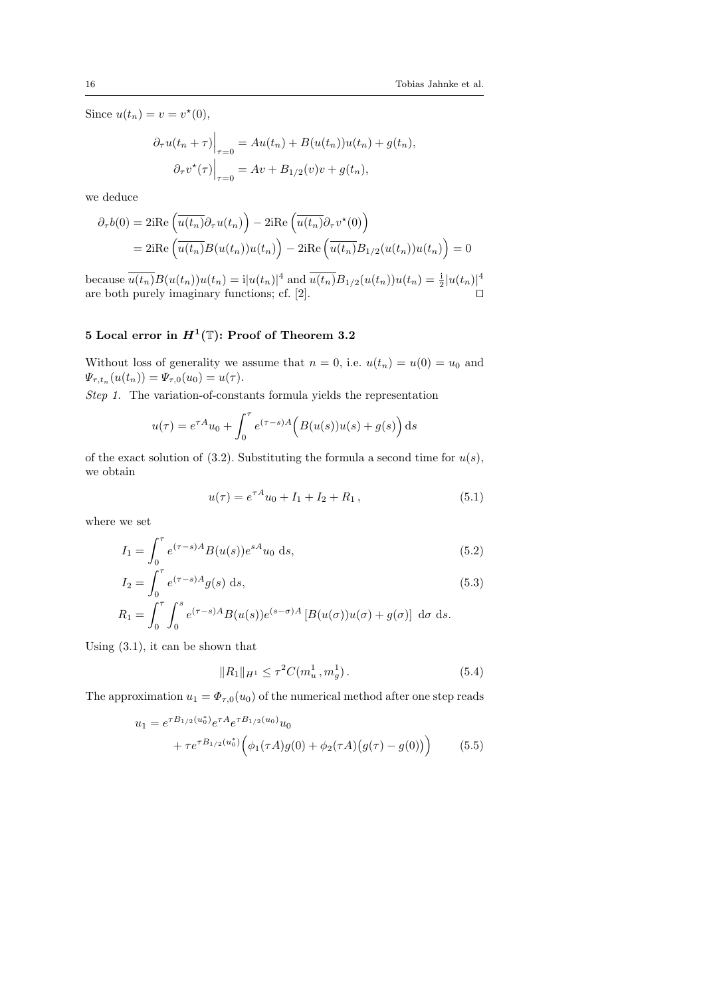Since  $u(t_n) = v = v^*(0)$ ,

$$
\partial_{\tau}u(t_n + \tau)\Big|_{\tau=0} = Au(t_n) + B(u(t_n))u(t_n) + g(t_n),
$$

$$
\partial_{\tau}v^{\star}(\tau)\Big|_{\tau=0} = Av + B_{1/2}(v)v + g(t_n),
$$

we deduce

$$
\partial_{\tau}b(0) = 2i\text{Re}\left(\overline{u(t_n)}\partial_{\tau}u(t_n)\right) - 2i\text{Re}\left(\overline{u(t_n)}\partial_{\tau}v^*(0)\right)
$$

$$
= 2i\text{Re}\left(\overline{u(t_n)}B(u(t_n))u(t_n)\right) - 2i\text{Re}\left(\overline{u(t_n)}B_{1/2}(u(t_n))u(t_n)\right) = 0
$$

because  $\overline{u(t_n)}B(u(t_n))u(t_n) = i|u(t_n)|^4$  and  $\overline{u(t_n)}B_{1/2}(u(t_n))u(t_n) = \frac{i}{2}|u(t_n)|^4$ are both purely imaginary functions; cf.  $[2]$ .

# 5 Local error in  $H^1(\mathbb{T})$ : Proof of Theorem 3.2

Without loss of generality we assume that  $n = 0$ , i.e.  $u(t_n) = u(0) = u_0$  and  $\Psi_{\tau,t_n}(u(t_n)) = \Psi_{\tau,0}(u_0) = u(\tau).$ 

Step 1. The variation-of-constants formula yields the representation

$$
u(\tau) = e^{\tau A}u_0 + \int_0^{\tau} e^{(\tau - s)A} \Big( B(u(s))u(s) + g(s) \Big) ds
$$

of the exact solution of (3.2). Substituting the formula a second time for  $u(s)$ , we obtain

$$
u(\tau) = e^{\tau A}u_0 + I_1 + I_2 + R_1, \qquad (5.1)
$$

where we set

$$
I_1 = \int_0^\tau e^{(\tau - s)A} B(u(s)) e^{sA} u_0 \, ds,\tag{5.2}
$$

$$
I_2 = \int_0^{\tau} e^{(\tau - s)A} g(s) ds,
$$
\n(5.3)

$$
R_1 = \int_0^{\tau} \int_0^{\sigma} e^{(\tau - s)A} B(u(s)) e^{(s - \sigma)A} \left[ B(u(\sigma)) u(\sigma) + g(\sigma) \right] d\sigma ds.
$$

Using (3.1), it can be shown that

$$
||R_1||_{H^1} \le \tau^2 C(m_u^1, m_g^1). \tag{5.4}
$$

The approximation  $u_1 = \Phi_{\tau,0}(u_0)$  of the numerical method after one step reads

$$
u_1 = e^{\tau B_{1/2}(u_0^*)} e^{\tau A} e^{\tau B_{1/2}(u_0)} u_0
$$
  
+  $\tau e^{\tau B_{1/2}(u_0^*)} \Big( \phi_1(\tau A) g(0) + \phi_2(\tau A) \big( g(\tau) - g(0) \big) \Big)$  (5.5)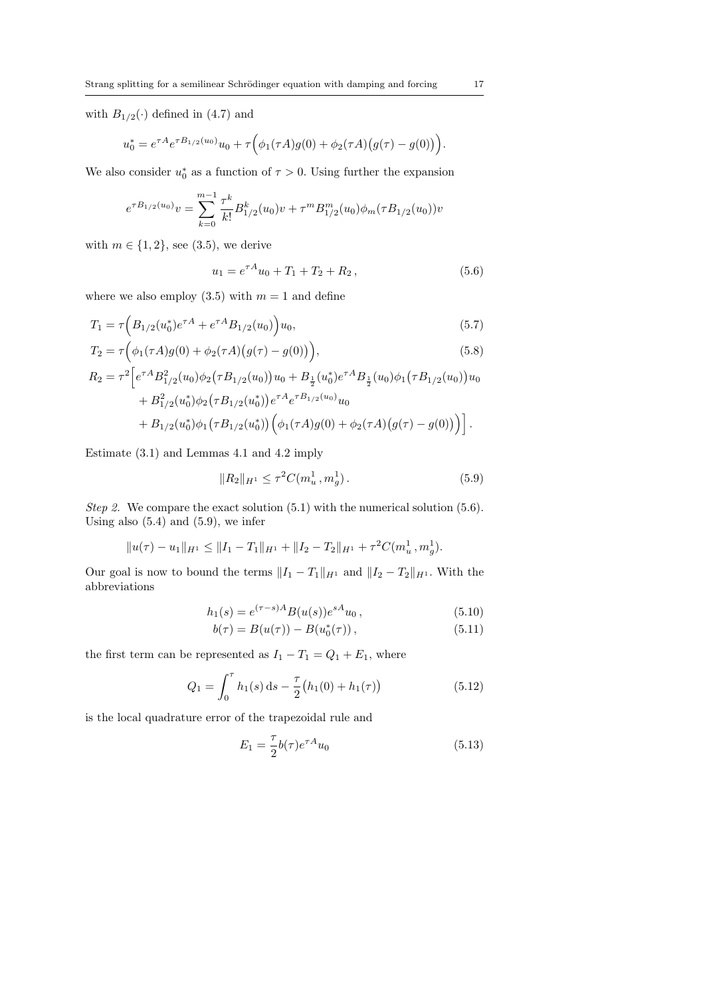with  $B_{1/2}(\cdot)$  defined in (4.7) and

$$
u_0^* = e^{\tau A} e^{\tau B_{1/2}(u_0)} u_0 + \tau \Big( \phi_1(\tau A) g(0) + \phi_2(\tau A) \big( g(\tau) - g(0) \big) \Big).
$$

We also consider  $u_0^*$  as a function of  $\tau > 0$ . Using further the expansion

$$
e^{\tau B_{1/2}(u_0)}v = \sum_{k=0}^{m-1} \frac{\tau^k}{k!} B_{1/2}^k(u_0)v + \tau^m B_{1/2}^m(u_0)\phi_m(\tau B_{1/2}(u_0))v
$$

with  $m \in \{1, 2\}$ , see (3.5), we derive

$$
u_1 = e^{\tau A} u_0 + T_1 + T_2 + R_2, \qquad (5.6)
$$

where we also employ  $(3.5)$  with  $m = 1$  and define

$$
T_1 = \tau \Big( B_{1/2}(u_0^*) e^{\tau A} + e^{\tau A} B_{1/2}(u_0) \Big) u_0,
$$
\n(5.7)

$$
T_2 = \tau \Big( \phi_1(\tau A) g(0) + \phi_2(\tau A) \big( g(\tau) - g(0) \big) \Big), \tag{5.8}
$$

$$
R_2 = \tau^2 \Big[ e^{\tau A} B_{1/2}^2(u_0) \phi_2(\tau B_{1/2}(u_0)) u_0 + B_{\frac{1}{2}}(u_0^*) e^{\tau A} B_{\frac{1}{2}}(u_0) \phi_1(\tau B_{1/2}(u_0)) u_0 + B_{1/2}^2(u_0^*) \phi_2(\tau B_{1/2}(u_0^*)) e^{\tau A} e^{\tau B_{1/2}(u_0)} u_0 + B_{1/2}(u_0^*) \phi_1(\tau B_{1/2}(u_0^*)) \Big( \phi_1(\tau A) g(0) + \phi_2(\tau A) (g(\tau) - g(0)) \Big) \Big].
$$

Estimate (3.1) and Lemmas 4.1 and 4.2 imply

$$
||R_2||_{H^1} \le \tau^2 C(m_u^1, m_g^1). \tag{5.9}
$$

Step 2. We compare the exact solution  $(5.1)$  with the numerical solution  $(5.6)$ . Using also  $(5.4)$  and  $(5.9)$ , we infer

$$
||u(\tau) - u_1||_{H^1} \le ||I_1 - T_1||_{H^1} + ||I_2 - T_2||_{H^1} + \tau^2 C(m_u^1, m_g^1).
$$

Our goal is now to bound the terms  $||I_1 - T_1||_{H^1}$  and  $||I_2 - T_2||_{H^1}$ . With the abbreviations

$$
h_1(s) = e^{(\tau - s)A} B(u(s)) e^{sA} u_0, \qquad (5.10)
$$

$$
b(\tau) = B(u(\tau)) - B(u_0^*(\tau)), \qquad (5.11)
$$

the first term can be represented as  $I_1 - T_1 = Q_1 + E_1$ , where

$$
Q_1 = \int_0^{\tau} h_1(s) \, ds - \frac{\tau}{2} \big( h_1(0) + h_1(\tau) \big) \tag{5.12}
$$

is the local quadrature error of the trapezoidal rule and

$$
E_1 = \frac{\tau}{2}b(\tau)e^{\tau A}u_0
$$
\n
$$
(5.13)
$$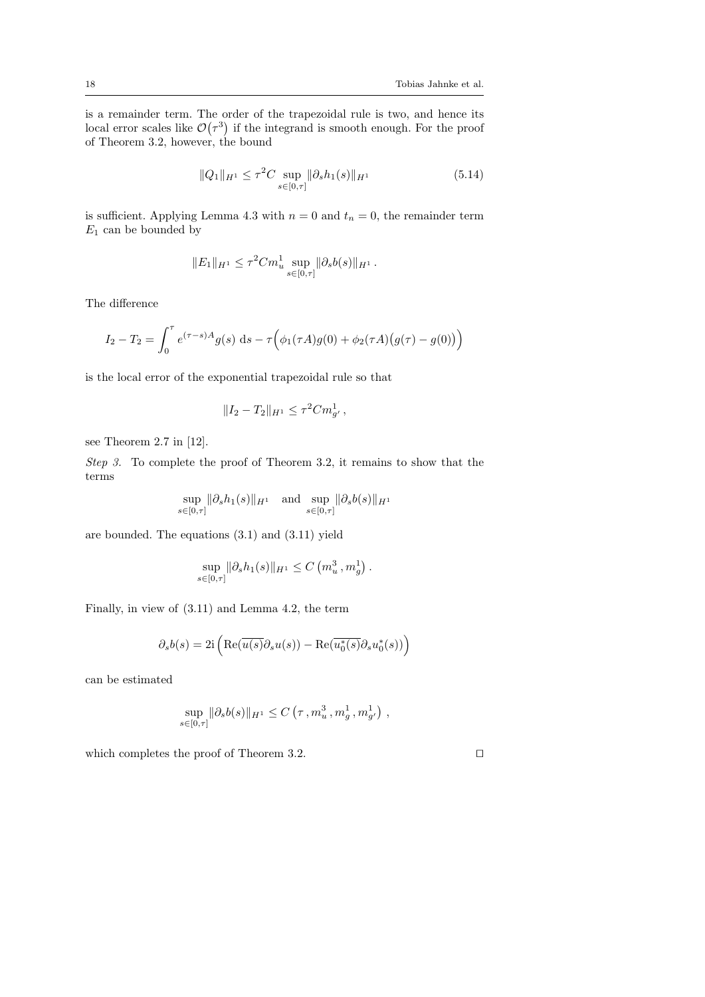is a remainder term. The order of the trapezoidal rule is two, and hence its local error scales like  $\mathcal{O}(\tau^3)$  if the integrand is smooth enough. For the proof of Theorem 3.2, however, the bound

$$
||Q_1||_{H^1} \le \tau^2 C \sup_{s \in [0,\tau]} ||\partial_s h_1(s)||_{H^1}
$$
\n(5.14)

is sufficient. Applying Lemma 4.3 with  $n = 0$  and  $t_n = 0$ , the remainder term  $E_1$  can be bounded by

$$
||E_1||_{H^1} \le \tau^2 C m_u^1 \sup_{s \in [0,\tau]} ||\partial_s b(s)||_{H^1}.
$$

The difference

$$
I_2 - T_2 = \int_0^{\tau} e^{(\tau - s)A} g(s) ds - \tau \Big( \phi_1(\tau A) g(0) + \phi_2(\tau A) \big( g(\tau) - g(0) \big) \Big)
$$

is the local error of the exponential trapezoidal rule so that

$$
||I_2 - T_2||_{H^1} \le \tau^2 C m_{g'}^1,
$$

see Theorem 2.7 in [12].

Step 3. To complete the proof of Theorem 3.2, it remains to show that the terms

$$
\sup_{s \in [0,\tau]} \lVert \partial_s h_1(s) \rVert_{H^1} \quad \text{and} \quad \sup_{s \in [0,\tau]} \lVert \partial_s b(s) \rVert_{H^1}
$$

are bounded. The equations (3.1) and (3.11) yield

$$
\sup_{s \in [0,\tau]} \|\partial_s h_1(s)\|_{H^1} \leq C\left(m_u^3, m_g^1\right).
$$

Finally, in view of (3.11) and Lemma 4.2, the term

$$
\partial_s b(s) = 2i \left( \text{Re}(\overline{u(s)} \partial_s u(s)) - \text{Re}(\overline{u_0^*(s)} \partial_s u_0^*(s)) \right)
$$

can be estimated

$$
\sup_{s \in [0,\tau]} \|\partial_s b(s)\|_{H^1} \leq C(\tau, m_u^3, m_g^1, m_{g'}^1),
$$

which completes the proof of Theorem 3.2.  $\Box$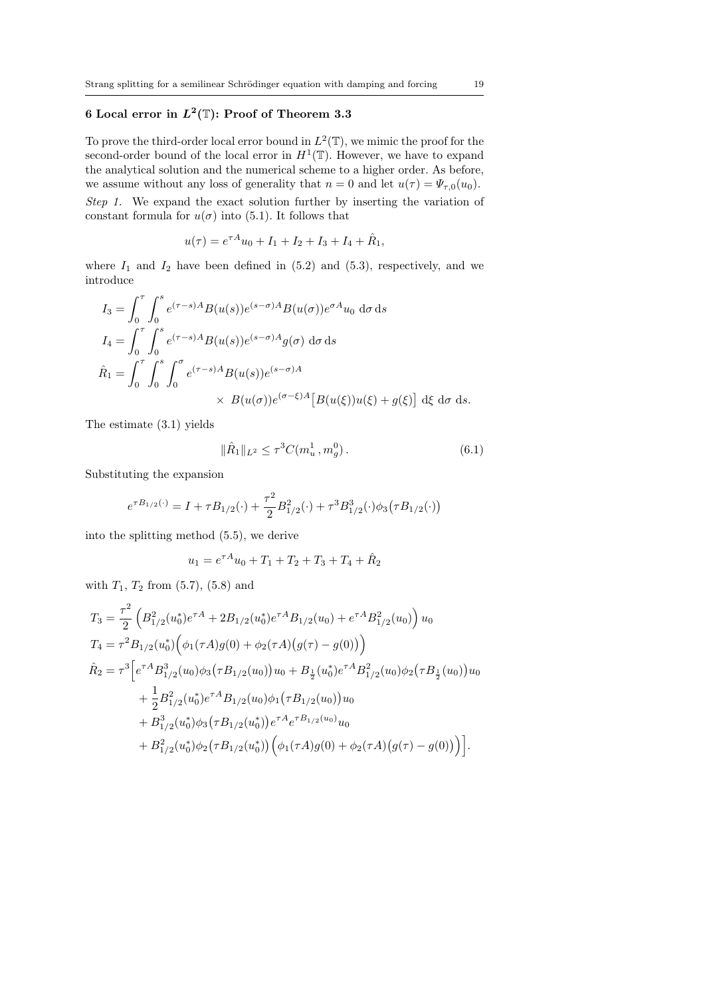# 6 Local error in  $L^2(\mathbb{T})$ : Proof of Theorem 3.3

To prove the third-order local error bound in  $L^2(\mathbb{T})$ , we mimic the proof for the second-order bound of the local error in  $H^1(\mathbb{T})$ . However, we have to expand the analytical solution and the numerical scheme to a higher order. As before, we assume without any loss of generality that  $n = 0$  and let  $u(\tau) = \Psi_{\tau,0}(u_0)$ .

Step 1. We expand the exact solution further by inserting the variation of constant formula for  $u(\sigma)$  into (5.1). It follows that

$$
u(\tau) = e^{\tau A}u_0 + I_1 + I_2 + I_3 + I_4 + \hat{R}_1,
$$

where  $I_1$  and  $I_2$  have been defined in (5.2) and (5.3), respectively, and we introduce

$$
I_3 = \int_0^{\tau} \int_0^s e^{(\tau - s)A} B(u(s)) e^{(s - \sigma)A} B(u(\sigma)) e^{\sigma A} u_0 \, d\sigma \, ds
$$
  
\n
$$
I_4 = \int_0^{\tau} \int_0^s e^{(\tau - s)A} B(u(s)) e^{(s - \sigma)A} g(\sigma) \, d\sigma \, ds
$$
  
\n
$$
\hat{R}_1 = \int_0^{\tau} \int_0^s \int_0^{\sigma} e^{(\tau - s)A} B(u(s)) e^{(s - \sigma)A} \times B(u(\sigma)) e^{(\sigma - \xi)A} [B(u(\xi))u(\xi) + g(\xi)] \, d\xi \, d\sigma \, ds.
$$

The estimate (3.1) yields

$$
\|\hat{R}_1\|_{L^2} \le \tau^3 C(m_u^1, m_g^0). \tag{6.1}
$$

Substituting the expansion

$$
e^{\tau B_{1/2}(\cdot)} = I + \tau B_{1/2}(\cdot) + \frac{\tau^2}{2} B_{1/2}^2(\cdot) + \tau^3 B_{1/2}^3(\cdot) \phi_3(\tau B_{1/2}(\cdot))
$$

into the splitting method (5.5), we derive

$$
u_1 = e^{\tau A}u_0 + T_1 + T_2 + T_3 + T_4 + \hat{R}_2
$$

with  $T_1, T_2$  from  $(5.7), (5.8)$  and

$$
T_3 = \frac{\tau^2}{2} \left( B_{1/2}^2(u_0^*) e^{\tau A} + 2B_{1/2}(u_0^*) e^{\tau A} B_{1/2}(u_0) + e^{\tau A} B_{1/2}^2(u_0) \right) u_0
$$
  
\n
$$
T_4 = \tau^2 B_{1/2}(u_0^*) \left( \phi_1(\tau A) g(0) + \phi_2(\tau A) (g(\tau) - g(0)) \right)
$$
  
\n
$$
\hat{R}_2 = \tau^3 \left[ e^{\tau A} B_{1/2}^3(u_0) \phi_3(\tau B_{1/2}(u_0)) u_0 + B_{\frac{1}{2}}(u_0^*) e^{\tau A} B_{1/2}^2(u_0) \phi_2(\tau B_{\frac{1}{2}}(u_0)) u_0 + \frac{1}{2} B_{1/2}^2(u_0^*) e^{\tau A} B_{1/2}(u_0) \phi_1(\tau B_{1/2}(u_0)) u_0 + B_{1/2}^3(u_0^*) \phi_3(\tau B_{1/2}(u_0^*)) e^{\tau A} e^{\tau B_{1/2}(u_0)} u_0 + B_{1/2}^2(u_0^*) \phi_2(\tau B_{1/2}(u_0^*)) \left( \phi_1(\tau A) g(0) + \phi_2(\tau A) (g(\tau) - g(0)) \right) \right].
$$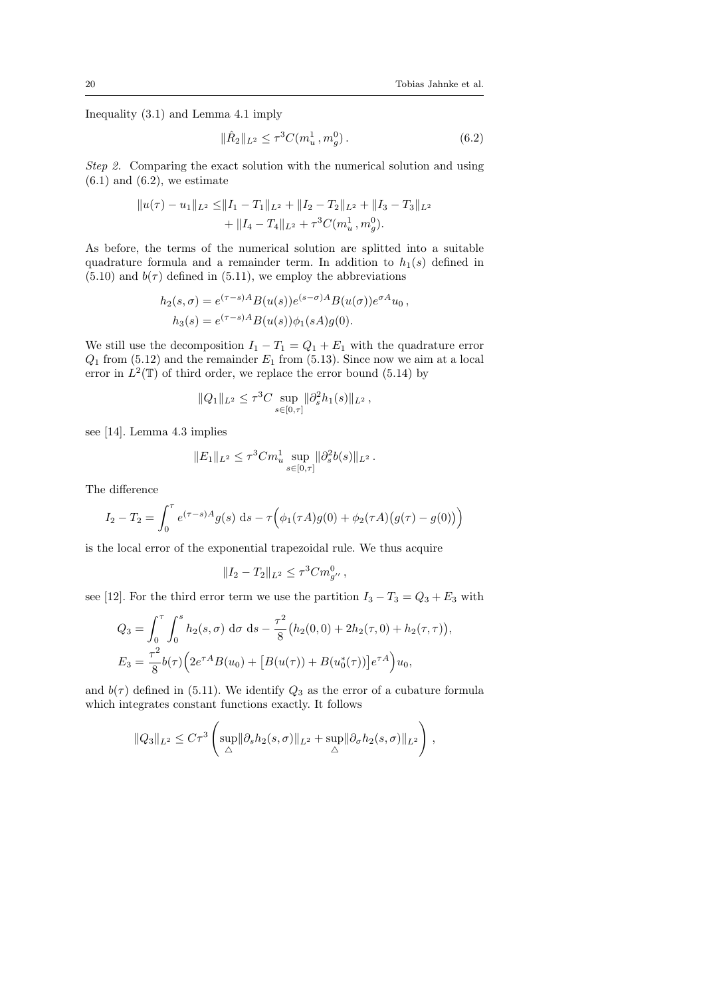Inequality (3.1) and Lemma 4.1 imply

$$
\|\hat{R}_2\|_{L^2} \le \tau^3 C(m_u^1, m_g^0). \tag{6.2}
$$

Step 2. Comparing the exact solution with the numerical solution and using  $(6.1)$  and  $(6.2)$ , we estimate

$$
||u(\tau) - u_1||_{L^2} \le ||I_1 - T_1||_{L^2} + ||I_2 - T_2||_{L^2} + ||I_3 - T_3||_{L^2} + ||I_4 - T_4||_{L^2} + \tau^3 C(m_u^1, m_g^0).
$$

As before, the terms of the numerical solution are splitted into a suitable quadrature formula and a remainder term. In addition to  $h_1(s)$  defined in  $(5.10)$  and  $b(\tau)$  defined in  $(5.11)$ , we employ the abbreviations

$$
h_2(s,\sigma) = e^{(\tau-s)A} B(u(s)) e^{(s-\sigma)A} B(u(\sigma)) e^{\sigma A} u_0,
$$
  
\n
$$
h_3(s) = e^{(\tau-s)A} B(u(s)) \phi_1(sA) g(0).
$$

We still use the decomposition  $I_1 - T_1 = Q_1 + E_1$  with the quadrature error  $Q_1$  from (5.12) and the remainder  $E_1$  from (5.13). Since now we aim at a local error in  $L^2(\mathbb{T})$  of third order, we replace the error bound (5.14) by

$$
||Q_1||_{L^2} \le \tau^3 C \sup_{s \in [0,\tau]} ||\partial_s^2 h_1(s)||_{L^2},
$$

see [14]. Lemma 4.3 implies

$$
||E_1||_{L^2} \le \tau^3 C m_u^1 \sup_{s \in [0,\tau]} ||\partial_s^2 b(s)||_{L^2}.
$$

The difference

$$
I_2 - T_2 = \int_0^{\tau} e^{(\tau - s)A} g(s) ds - \tau \Big( \phi_1(\tau A) g(0) + \phi_2(\tau A) (g(\tau) - g(0)) \Big)
$$

is the local error of the exponential trapezoidal rule. We thus acquire

$$
||I_2 - T_2||_{L^2} \le \tau^3 C m_{g''}^0,
$$

see [12]. For the third error term we use the partition  $I_3 - T_3 = Q_3 + E_3$  with

$$
Q_3 = \int_0^{\tau} \int_0^s h_2(s,\sigma) \, d\sigma \, ds - \frac{\tau^2}{8} \big( h_2(0,0) + 2h_2(\tau,0) + h_2(\tau,\tau) \big),
$$
  

$$
E_3 = \frac{\tau^2}{8} b(\tau) \Big( 2e^{\tau A} B(u_0) + \big[ B(u(\tau)) + B(u_0^*(\tau)) \big] e^{\tau A} \Big) u_0,
$$

and  $b(\tau)$  defined in (5.11). We identify  $Q_3$  as the error of a cubature formula which integrates constant functions exactly. It follows

$$
||Q_3||_{L^2} \leq C\tau^3 \left( \sup_{\triangle} ||\partial_s h_2(s,\sigma)||_{L^2} + \sup_{\triangle} ||\partial_\sigma h_2(s,\sigma)||_{L^2} \right),
$$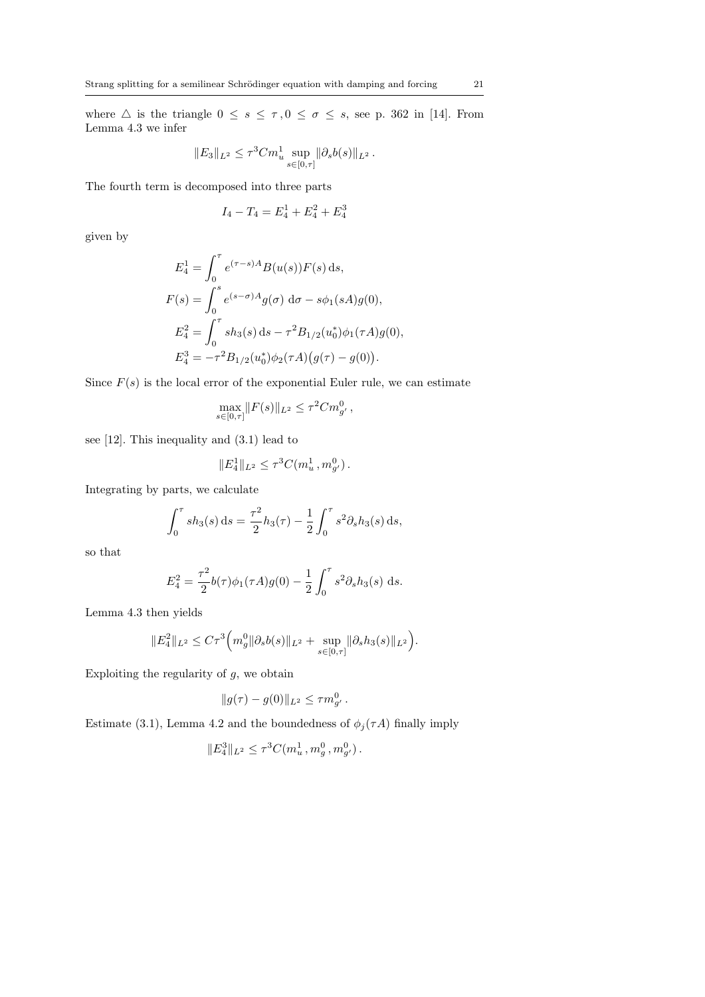where  $\triangle$  is the triangle  $0 \leq s \leq \tau, 0 \leq \sigma \leq s$ , see p. 362 in [14]. From Lemma 4.3 we infer

$$
||E_3||_{L^2} \le \tau^3 C m_u^1 \sup_{s \in [0,\tau]} ||\partial_s b(s)||_{L^2}.
$$

The fourth term is decomposed into three parts

$$
I_4 - T_4 = E_4^1 + E_4^2 + E_4^3
$$

given by

$$
E_4^1 = \int_0^{\tau} e^{(\tau - s)A} B(u(s)) F(s) ds,
$$
  
\n
$$
F(s) = \int_0^s e^{(s - \sigma)A} g(\sigma) d\sigma - s\phi_1(sA)g(0),
$$
  
\n
$$
E_4^2 = \int_0^{\tau} s h_3(s) ds - \tau^2 B_{1/2}(u_0^*) \phi_1(\tau A)g(0),
$$
  
\n
$$
E_4^3 = -\tau^2 B_{1/2}(u_0^*) \phi_2(\tau A) (g(\tau) - g(0)).
$$

Since  $F(s)$  is the local error of the exponential Euler rule, we can estimate

$$
\max_{s \in [0,\tau]} \|F(s)\|_{L^2} \le \tau^2 C m_{g'}^0,
$$

see [12]. This inequality and (3.1) lead to

$$
||E_4^1||_{L^2} \leq \tau^3 C(m_u^1, m_{g'}^0).
$$

Integrating by parts, we calculate

$$
\int_0^{\tau} sh_3(s) ds = \frac{\tau^2}{2} h_3(\tau) - \frac{1}{2} \int_0^{\tau} s^2 \partial_s h_3(s) ds,
$$

so that

$$
E_4^2 = \frac{\tau^2}{2}b(\tau)\phi_1(\tau A)g(0) - \frac{1}{2}\int_0^{\tau} s^2 \partial_s h_3(s) ds.
$$

Lemma 4.3 then yields

$$
||E_4^2||_{L^2} \leq C\tau^3 \Big(m_g^0 ||\partial_s b(s)||_{L^2} + \sup_{s \in [0,\tau]} ||\partial_s h_3(s)||_{L^2}\Big).
$$

Exploiting the regularity of  $g$ , we obtain

$$
||g(\tau) - g(0)||_{L^2} \le \tau m_{g'}^0.
$$

Estimate (3.1), Lemma 4.2 and the boundedness of  $\phi_j(\tau A)$  finally imply

$$
||E_4^3||_{L^2} \le \tau^3 C(m_u^1, m_g^0, m_{g'}^0).
$$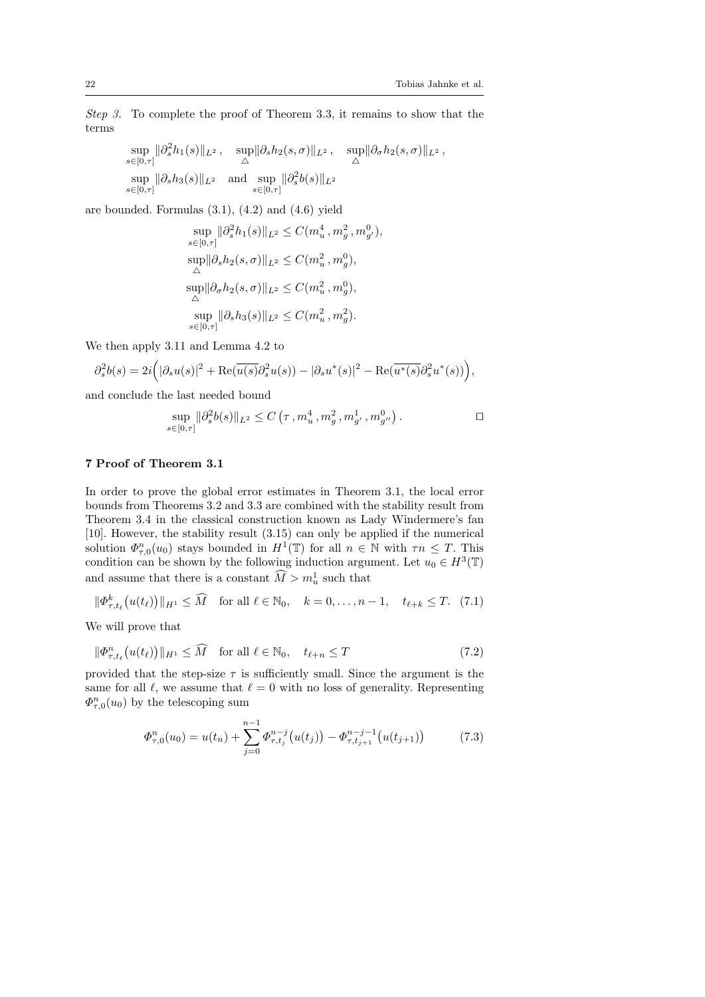Step 3. To complete the proof of Theorem 3.3, it remains to show that the terms

$$
\sup_{s \in [0,\tau]} \|\partial_s^2 h_1(s)\|_{L^2}, \quad \sup_{\triangle} \|\partial_s h_2(s,\sigma)\|_{L^2}, \quad \sup_{\triangle} \|\partial_\sigma h_2(s,\sigma)\|_{L^2},
$$
  
\n
$$
\sup_{s \in [0,\tau]} \|\partial_s h_3(s)\|_{L^2} \quad \text{and} \quad \sup_{s \in [0,\tau]} \|\partial_s^2 b(s)\|_{L^2}
$$

are bounded. Formulas  $(3.1)$ ,  $(4.2)$  and  $(4.6)$  yield

$$
\begin{split} & \sup_{s \in [0,\tau]} \|\partial_s^2 h_1(s)\|_{L^2} \leq C(m_u^4\,,m_g^2\,,m_{g'}^0),\\ & \sup_{\triangle} \|\partial_s h_2(s,\sigma)\|_{L^2} \leq C(m_u^2\,,m_g^0),\\ & \sup_{\triangle} \|\partial_\sigma h_2(s,\sigma)\|_{L^2} \leq C(m_u^2\,,m_g^0),\\ & \sup_{s \in [0,\tau]} \|\partial_s h_3(s)\|_{L^2} \leq C(m_u^2\,,m_g^2). \end{split}
$$

We then apply 3.11 and Lemma 4.2 to

$$
\partial_s^2 b(s) = 2i \Big( |\partial_s u(s)|^2 + \text{Re}(\overline{u(s)} \partial_s^2 u(s)) - |\partial_s u^*(s)|^2 - \text{Re}(\overline{u^*(s)} \partial_s^2 u^*(s)) \Big),
$$

and conclude the last needed bound

$$
\sup_{s \in [0,\tau]} \|\partial_s^2 b(s)\|_{L^2} \le C\left(\tau, m_u^4, m_g^2, m_{g'}^1, m_{g''}^0\right).
$$

## 7 Proof of Theorem 3.1

In order to prove the global error estimates in Theorem 3.1, the local error bounds from Theorems 3.2 and 3.3 are combined with the stability result from Theorem 3.4 in the classical construction known as Lady Windermere's fan [10]. However, the stability result (3.15) can only be applied if the numerical solution  $\Phi_{\tau,0}^n(u_0)$  stays bounded in  $H^1(\mathbb{T})$  for all  $n \in \mathbb{N}$  with  $\tau n \leq T$ . This condition can be shown by the following induction argument. Let  $u_0 \in H^3(\mathbb{T})$ and assume that there is a constant  $\widehat{M} > m_u^1$  such that

$$
\|\Phi_{\tau,t_{\ell}}^k(u(t_{\ell}))\|_{H^1}\leq \widehat{M} \quad \text{for all } \ell \in \mathbb{N}_0, \quad k=0,\ldots,n-1, \quad t_{\ell+k} \leq T. \tag{7.1}
$$

We will prove that

$$
\|\Phi_{\tau,t_{\ell}}^n(u(t_{\ell}))\|_{H^1} \le \widehat{M} \quad \text{for all } \ell \in \mathbb{N}_0, \quad t_{\ell+n} \le T \tag{7.2}
$$

provided that the step-size  $\tau$  is sufficiently small. Since the argument is the same for all  $\ell$ , we assume that  $\ell = 0$  with no loss of generality. Representing  $\Phi_{\tau,0}^n(u_0)$  by the telescoping sum

$$
\Phi_{\tau,0}^n(u_0) = u(t_n) + \sum_{j=0}^{n-1} \Phi_{\tau,t_j}^{n-j} \left( u(t_j) \right) - \Phi_{\tau,t_{j+1}}^{n-j-1} \left( u(t_{j+1}) \right) \tag{7.3}
$$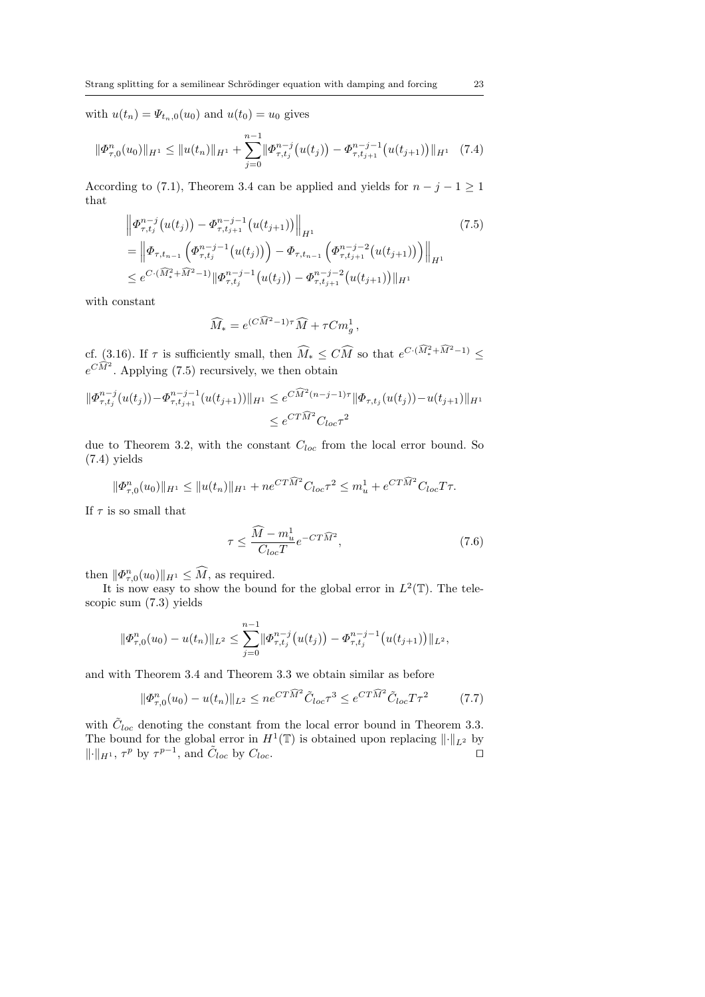with  $u(t_n) = \Psi_{t_n,0}(u_0)$  and  $u(t_0) = u_0$  gives

$$
\|\Phi_{\tau,0}^n(u_0)\|_{H^1} \le \|u(t_n)\|_{H^1} + \sum_{j=0}^{n-1} \|\Phi_{\tau,t_j}^{n-j}(u(t_j)) - \Phi_{\tau,t_{j+1}}^{n-j-1}(u(t_{j+1}))\|_{H^1} \quad (7.4)
$$

According to (7.1), Theorem 3.4 can be applied and yields for  $n - j - 1 \ge 1$ that

$$
\|\Phi_{\tau,t_j}^{n-j}(u(t_j)) - \Phi_{\tau,t_{j+1}}^{n-j-1}(u(t_{j+1}))\|_{H^1}
$$
\n
$$
= \left\|\Phi_{\tau,t_{n-1}}\left(\Phi_{\tau,t_j}^{n-j-1}(u(t_j))\right) - \Phi_{\tau,t_{n-1}}\left(\Phi_{\tau,t_{j+1}}^{n-j-2}(u(t_{j+1}))\right)\right\|_{H^1}
$$
\n
$$
\leq e^{C\cdot(\widehat{M}_*^2 + \widehat{M}^2 - 1)} \|\Phi_{\tau,t_j}^{n-j-1}(u(t_j)) - \Phi_{\tau,t_{j+1}}^{n-j-2}(u(t_{j+1}))\|_{H^1}
$$
\n
$$
(7.5)
$$

with constant

$$
\widehat{M}_* = e^{(C\widehat{M}^2 - 1)\tau} \widehat{M} + \tau C m_g^1,
$$

cf. (3.16). If  $\tau$  is sufficiently small, then  $\widehat{M}_* \leq C\widehat{M}$  so that  $e^{C \cdot (\widehat{M}_*^2 + \widehat{M}^2 - 1)} \leq$  $e^{C\widehat{M}^2}$ . Applying (7.5) recursively, we then obtain

$$
\|\Phi_{\tau,t_j}^{n-j}(u(t_j)) - \Phi_{\tau,t_{j+1}}^{n-j-1}(u(t_{j+1}))\|_{H^1} \le e^{C\widehat{M}^2(n-j-1)\tau} \|\Phi_{\tau,t_j}(u(t_j)) - u(t_{j+1})\|_{H^1}
$$
  

$$
\le e^{C T \widehat{M}^2} C_{loc} \tau^2
$$

due to Theorem 3.2, with the constant  $C_{loc}$  from the local error bound. So (7.4) yields

$$
\|\Phi_{\tau,0}^n(u_0)\|_{H^1} \le \|u(t_n)\|_{H^1} + n e^{CT\widehat{M}^2} C_{loc} \tau^2 \le m_u^1 + e^{CT\widehat{M}^2} C_{loc} T\tau.
$$

If  $\tau$  is so small that

$$
\tau \le \frac{\widehat{M} - m_u^1}{C_{loc}T} e^{-CT\widehat{M}^2},\tag{7.6}
$$

then  $\|\Phi_{\tau,0}^n(u_0)\|_{H^1} \leq \widehat{M}$ , as required.

It is now easy to show the bound for the global error in  $L^2(\mathbb{T})$ . The telescopic sum (7.3) yields

$$
\|\Phi_{\tau,0}^n(u_0)-u(t_n)\|_{L^2}\leq \sum_{j=0}^{n-1}\|\Phi_{\tau,t_j}^{n-j}(u(t_j))-\Phi_{\tau,t_j}^{n-j-1}(u(t_{j+1}))\|_{L^2},
$$

and with Theorem 3.4 and Theorem 3.3 we obtain similar as before

$$
\|\Phi_{\tau,0}^n(u_0) - u(t_n)\|_{L^2} \le n e^{CT\widehat{M}^2} \tilde{C}_{loc} \tau^3 \le e^{CT\widehat{M}^2} \tilde{C}_{loc} T \tau^2 \tag{7.7}
$$

with  $\tilde{C}_{loc}$  denoting the constant from the local error bound in Theorem 3.3. The bound for the global error in  $H^1(\mathbb{T})$  is obtained upon replacing  $\lVert \cdot \rVert_{L^2}$  by  $\|\cdot\|_{H^1}$ ,  $\tau^p$  by  $\tau^{p-1}$ , and  $\tilde{C}_{loc}$  by  $C_{loc}$ .  $\square$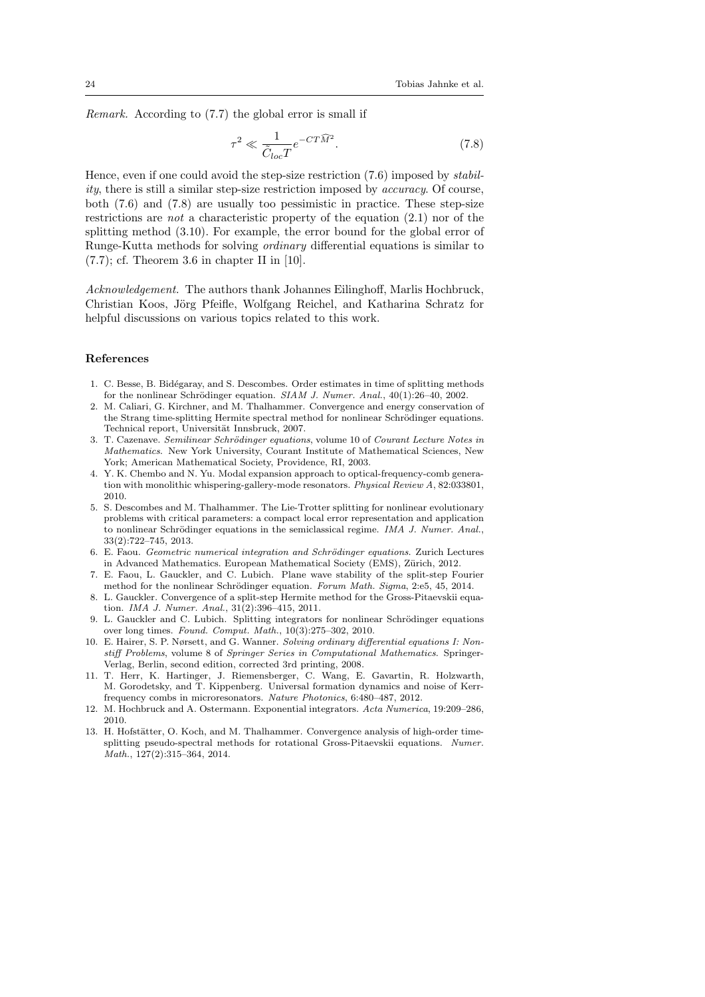Remark. According to (7.7) the global error is small if

$$
\tau^2 \ll \frac{1}{\tilde{C}_{loc}T} e^{-CT\widehat{M}^2}.\tag{7.8}
$$

Hence, even if one could avoid the step-size restriction  $(7.6)$  imposed by *stabil*ity, there is still a similar step-size restriction imposed by accuracy. Of course, both (7.6) and (7.8) are usually too pessimistic in practice. These step-size restrictions are *not* a characteristic property of the equation  $(2.1)$  nor of the splitting method (3.10). For example, the error bound for the global error of Runge-Kutta methods for solving ordinary differential equations is similar to  $(7.7)$ ; cf. Theorem 3.6 in chapter II in [10].

Acknowledgement. The authors thank Johannes Eilinghoff, Marlis Hochbruck, Christian Koos, Jörg Pfeifle, Wolfgang Reichel, and Katharina Schratz for helpful discussions on various topics related to this work.

#### References

- 1. C. Besse, B. Bid´egaray, and S. Descombes. Order estimates in time of splitting methods for the nonlinear Schrödinger equation.  $SIAM$  J. Numer. Anal.,  $40(1):26-40$ , 2002.
- 2. M. Caliari, G. Kirchner, and M. Thalhammer. Convergence and energy conservation of the Strang time-splitting Hermite spectral method for nonlinear Schrödinger equations. Technical report, Universität Innsbruck, 2007.
- 3. T. Cazenave. Semilinear Schrödinger equations, volume 10 of Courant Lecture Notes in Mathematics. New York University, Courant Institute of Mathematical Sciences, New York; American Mathematical Society, Providence, RI, 2003.
- 4. Y. K. Chembo and N. Yu. Modal expansion approach to optical-frequency-comb generation with monolithic whispering-gallery-mode resonators. Physical Review A, 82:033801, 2010.
- 5. S. Descombes and M. Thalhammer. The Lie-Trotter splitting for nonlinear evolutionary problems with critical parameters: a compact local error representation and application to nonlinear Schrödinger equations in the semiclassical regime. IMA J. Numer. Anal., 33(2):722–745, 2013.
- 6. E. Faou. Geometric numerical integration and Schrödinger equations. Zurich Lectures in Advanced Mathematics. European Mathematical Society (EMS), Zürich, 2012.
- 7. E. Faou, L. Gauckler, and C. Lubich. Plane wave stability of the split-step Fourier method for the nonlinear Schrödinger equation. Forum Math. Sigma, 2:e5, 45, 2014.
- 8. L. Gauckler. Convergence of a split-step Hermite method for the Gross-Pitaevskii equation. IMA J. Numer. Anal., 31(2):396–415, 2011.
- 9. L. Gauckler and C. Lubich. Splitting integrators for nonlinear Schrödinger equations over long times. Found. Comput. Math., 10(3):275–302, 2010.
- 10. E. Hairer, S. P. Nørsett, and G. Wanner. Solving ordinary differential equations I: Nonstiff Problems, volume 8 of Springer Series in Computational Mathematics. Springer-Verlag, Berlin, second edition, corrected 3rd printing, 2008.
- 11. T. Herr, K. Hartinger, J. Riemensberger, C. Wang, E. Gavartin, R. Holzwarth, M. Gorodetsky, and T. Kippenberg. Universal formation dynamics and noise of Kerrfrequency combs in microresonators. Nature Photonics, 6:480–487, 2012.
- 12. M. Hochbruck and A. Ostermann. Exponential integrators. Acta Numerica, 19:209–286, 2010.
- 13. H. Hofstätter, O. Koch, and M. Thalhammer. Convergence analysis of high-order timesplitting pseudo-spectral methods for rotational Gross-Pitaevskii equations. Numer. Math., 127(2):315–364, 2014.